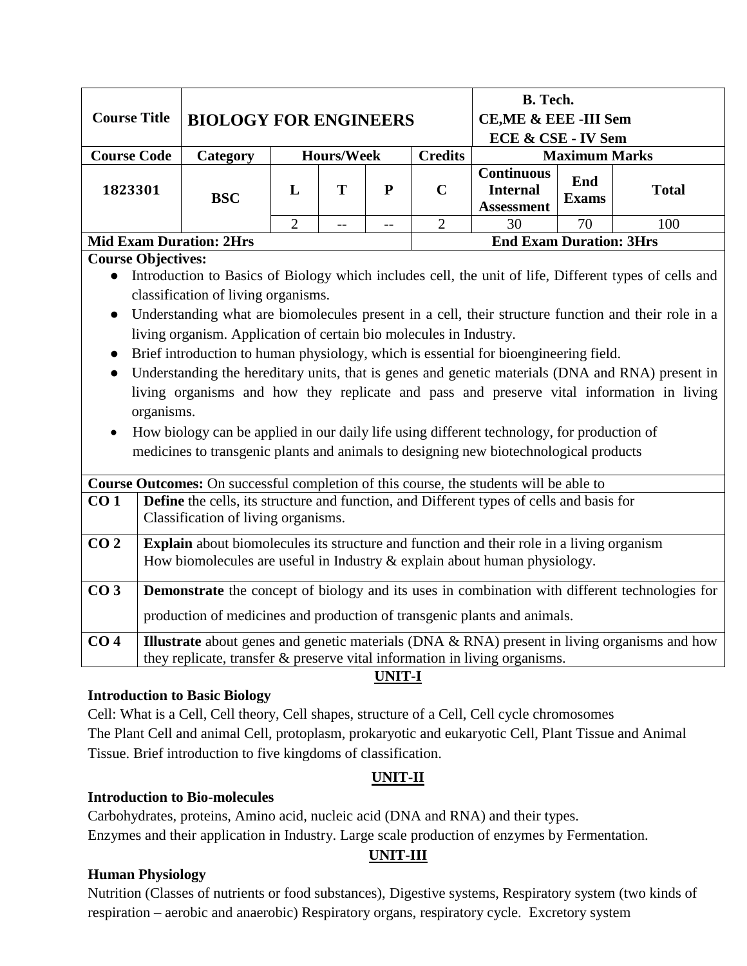| <b>Course Title</b>                                                                                   | <b>BIOLOGY FOR ENGINEERS</b>                                                                                                                                           |                |                   |           | <b>B.</b> Tech.<br>CE, ME & EEE - III Sem<br>ECE & CSE - IV Sem |                                                                                                  |    |                                                                                                  |  |  |  |  |
|-------------------------------------------------------------------------------------------------------|------------------------------------------------------------------------------------------------------------------------------------------------------------------------|----------------|-------------------|-----------|-----------------------------------------------------------------|--------------------------------------------------------------------------------------------------|----|--------------------------------------------------------------------------------------------------|--|--|--|--|
| <b>Course Code</b>                                                                                    | Category                                                                                                                                                               |                | <b>Hours/Week</b> |           | <b>Credits</b>                                                  | <b>Maximum Marks</b>                                                                             |    |                                                                                                  |  |  |  |  |
| 1823301                                                                                               | <b>BSC</b>                                                                                                                                                             | L              | T                 | ${\bf P}$ | $\mathbf C$                                                     | <b>Continuous</b><br>End<br><b>Total</b><br><b>Internal</b><br><b>Exams</b><br><b>Assessment</b> |    |                                                                                                  |  |  |  |  |
|                                                                                                       |                                                                                                                                                                        | $\overline{2}$ | $-$               | $-$       | $\overline{2}$                                                  | 30                                                                                               | 70 | 100                                                                                              |  |  |  |  |
|                                                                                                       | <b>End Exam Duration: 3Hrs</b><br><b>Mid Exam Duration: 2Hrs</b>                                                                                                       |                |                   |           |                                                                 |                                                                                                  |    |                                                                                                  |  |  |  |  |
| <b>Course Objectives:</b>                                                                             |                                                                                                                                                                        |                |                   |           |                                                                 |                                                                                                  |    |                                                                                                  |  |  |  |  |
| Introduction to Basics of Biology which includes cell, the unit of life, Different types of cells and |                                                                                                                                                                        |                |                   |           |                                                                 |                                                                                                  |    |                                                                                                  |  |  |  |  |
| classification of living organisms.                                                                   |                                                                                                                                                                        |                |                   |           |                                                                 |                                                                                                  |    |                                                                                                  |  |  |  |  |
| $\bullet$                                                                                             | Understanding what are biomolecules present in a cell, their structure function and their role in a                                                                    |                |                   |           |                                                                 |                                                                                                  |    |                                                                                                  |  |  |  |  |
| living organism. Application of certain bio molecules in Industry.                                    |                                                                                                                                                                        |                |                   |           |                                                                 |                                                                                                  |    |                                                                                                  |  |  |  |  |
|                                                                                                       | Brief introduction to human physiology, which is essential for bioengineering field.                                                                                   |                |                   |           |                                                                 |                                                                                                  |    |                                                                                                  |  |  |  |  |
|                                                                                                       |                                                                                                                                                                        |                |                   |           |                                                                 |                                                                                                  |    | Understanding the hereditary units, that is genes and genetic materials (DNA and RNA) present in |  |  |  |  |
| organisms.                                                                                            |                                                                                                                                                                        |                |                   |           |                                                                 |                                                                                                  |    | living organisms and how they replicate and pass and preserve vital information in living        |  |  |  |  |
|                                                                                                       | How biology can be applied in our daily life using different technology, for production of                                                                             |                |                   |           |                                                                 |                                                                                                  |    |                                                                                                  |  |  |  |  |
|                                                                                                       | medicines to transgenic plants and animals to designing new biotechnological products                                                                                  |                |                   |           |                                                                 |                                                                                                  |    |                                                                                                  |  |  |  |  |
|                                                                                                       |                                                                                                                                                                        |                |                   |           |                                                                 |                                                                                                  |    |                                                                                                  |  |  |  |  |
|                                                                                                       | Course Outcomes: On successful completion of this course, the students will be able to                                                                                 |                |                   |           |                                                                 |                                                                                                  |    |                                                                                                  |  |  |  |  |
| CO <sub>1</sub>                                                                                       | <b>Define</b> the cells, its structure and function, and Different types of cells and basis for                                                                        |                |                   |           |                                                                 |                                                                                                  |    |                                                                                                  |  |  |  |  |
|                                                                                                       | Classification of living organisms.                                                                                                                                    |                |                   |           |                                                                 |                                                                                                  |    |                                                                                                  |  |  |  |  |
| CO <sub>2</sub>                                                                                       |                                                                                                                                                                        |                |                   |           |                                                                 |                                                                                                  |    |                                                                                                  |  |  |  |  |
|                                                                                                       | Explain about biomolecules its structure and function and their role in a living organism<br>How biomolecules are useful in Industry & explain about human physiology. |                |                   |           |                                                                 |                                                                                                  |    |                                                                                                  |  |  |  |  |
|                                                                                                       |                                                                                                                                                                        |                |                   |           |                                                                 |                                                                                                  |    |                                                                                                  |  |  |  |  |
| CO <sub>3</sub>                                                                                       |                                                                                                                                                                        |                |                   |           |                                                                 |                                                                                                  |    | Demonstrate the concept of biology and its uses in combination with different technologies for   |  |  |  |  |
|                                                                                                       |                                                                                                                                                                        |                |                   |           |                                                                 |                                                                                                  |    |                                                                                                  |  |  |  |  |
|                                                                                                       | production of medicines and production of transgenic plants and animals.                                                                                               |                |                   |           |                                                                 |                                                                                                  |    |                                                                                                  |  |  |  |  |
| CO <sub>4</sub>                                                                                       |                                                                                                                                                                        |                |                   |           |                                                                 |                                                                                                  |    | Illustrate about genes and genetic materials (DNA & RNA) present in living organisms and how     |  |  |  |  |
|                                                                                                       | they replicate, transfer & preserve vital information in living organisms.                                                                                             |                |                   |           |                                                                 |                                                                                                  |    |                                                                                                  |  |  |  |  |

#### **UNIT-I**

## **Introduction to Basic Biology**

Cell: What is a Cell, Cell theory, Cell shapes, structure of a Cell, Cell cycle chromosomes The Plant Cell and animal Cell, protoplasm, prokaryotic and eukaryotic Cell, Plant Tissue and Animal Tissue. Brief introduction to five kingdoms of classification.

# **UNIT-II**

#### **Introduction to Bio-molecules**

Carbohydrates, proteins, Amino acid, nucleic acid (DNA and RNA) and their types. Enzymes and their application in Industry. Large scale production of enzymes by Fermentation.

## **UNIT-III**

## **Human Physiology**

Nutrition (Classes of nutrients or food substances), Digestive systems, Respiratory system (two kinds of respiration – aerobic and anaerobic) Respiratory organs, respiratory cycle. Excretory system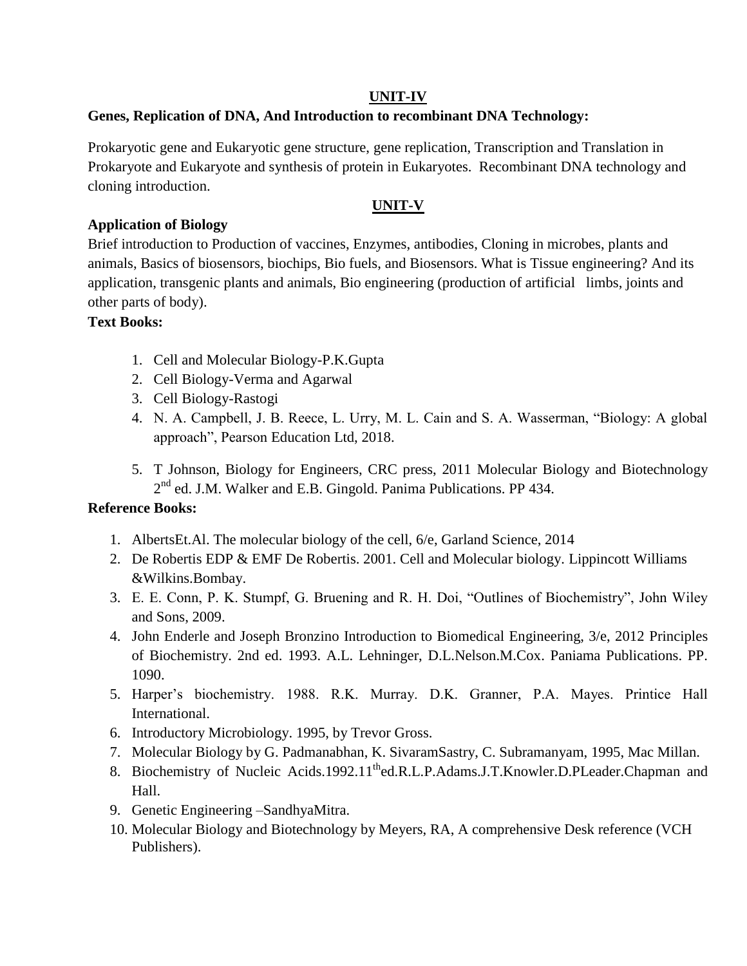## **UNIT-IV**

## **Genes, Replication of DNA, And Introduction to recombinant DNA Technology:**

Prokaryotic gene and Eukaryotic gene structure, gene replication, Transcription and Translation in Prokaryote and Eukaryote and synthesis of protein in Eukaryotes. Recombinant DNA technology and cloning introduction.

# **UNIT-V**

## **Application of Biology**

Brief introduction to Production of vaccines, Enzymes, antibodies, Cloning in microbes, plants and animals, Basics of biosensors, biochips, Bio fuels, and Biosensors. What is Tissue engineering? And its application, transgenic plants and animals, Bio engineering (production of artificial limbs, joints and other parts of body).

## **Text Books:**

- 1. Cell and Molecular Biology-P.K.Gupta
- 2. Cell Biology-Verma and Agarwal
- 3. Cell Biology-Rastogi
- 4. N. A. Campbell, J. B. Reece, L. Urry, M. L. Cain and S. A. Wasserman, "Biology: A global approach", Pearson Education Ltd, 2018.
- 5. T Johnson, Biology for Engineers, CRC press, 2011 Molecular Biology and Biotechnology  $2<sup>nd</sup>$  ed. J.M. Walker and E.B. Gingold. Panima Publications. PP 434.

## **Reference Books:**

- 1. AlbertsEt.Al. The molecular biology of the cell, 6/e, Garland Science, 2014
- 2. De Robertis EDP & EMF De Robertis. 2001. Cell and Molecular biology*.* Lippincott Williams &Wilkins.Bombay.
- 3. E. E. Conn, P. K. Stumpf, G. Bruening and R. H. Doi, "Outlines of Biochemistry", John Wiley and Sons, 2009.
- 4. John Enderle and Joseph Bronzino Introduction to Biomedical Engineering, 3/e, 2012 Principles of Biochemistry. 2nd ed. 1993. A.L. Lehninger, D.L.Nelson.M.Cox. Paniama Publications. PP. 1090.
- 5. Harper's biochemistry. 1988. R.K. Murray. D.K. Granner, P.A. Mayes. Printice Hall International.
- 6. Introductory Microbiology. 1995, by Trevor Gross.
- 7. Molecular Biology by G. Padmanabhan, K. SivaramSastry, C. Subramanyam, 1995, Mac Millan.
- 8. Biochemistry of Nucleic Acids.1992.11<sup>th</sup>ed.R.L.P.Adams.J.T.Knowler.D.PLeader.Chapman and Hall.
- 9. Genetic Engineering –SandhyaMitra.
- 10. Molecular Biology and Biotechnology by Meyers, RA, A comprehensive Desk reference (VCH Publishers).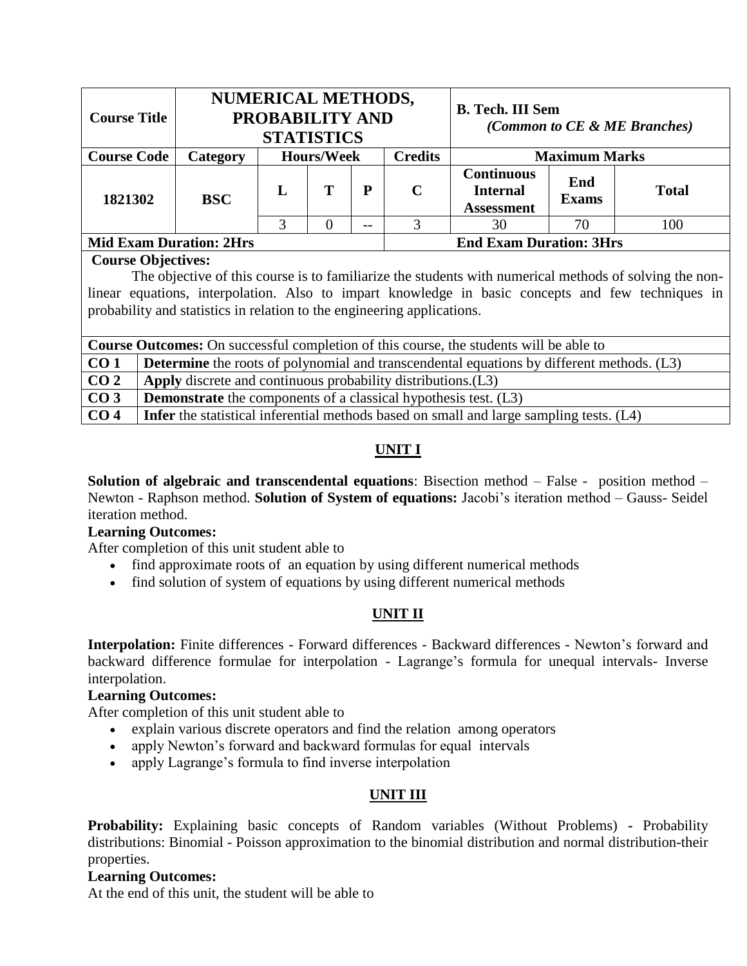| <b>Course Title</b>            |                 | <b>NUMERICAL METHODS,</b><br><b>PROBABILITY AND</b><br><b>STATISTICS</b> |                   |    |                | <b>B. Tech. III Sem</b><br>(Common to CE & ME Branches)   |                      |              |  |
|--------------------------------|-----------------|--------------------------------------------------------------------------|-------------------|----|----------------|-----------------------------------------------------------|----------------------|--------------|--|
| <b>Course Code</b>             | <b>Category</b> |                                                                          | <b>Hours/Week</b> |    | <b>Credits</b> |                                                           | <b>Maximum Marks</b> |              |  |
| 1821302                        | <b>BSC</b>      | L                                                                        | т                 | P  | C              | <b>Continuous</b><br><b>Internal</b><br><b>Assessment</b> | End<br><b>Exams</b>  | <b>Total</b> |  |
|                                |                 |                                                                          | $\theta$          | -- |                | 30                                                        | 70                   | 100          |  |
| <b>Mid Exam Duration: 2Hrs</b> |                 |                                                                          |                   |    |                | <b>End Exam Duration: 3Hrs</b>                            |                      |              |  |

## **Course Objectives:**

The objective of this course is to familiarize the students with numerical methods of solving the nonlinear equations, interpolation. Also to impart knowledge in basic concepts and few techniques in probability and statistics in relation to the engineering applications.

| <b>Course Outcomes:</b> On successful completion of this course, the students will be able to |                                                                                                  |  |  |  |  |  |  |  |
|-----------------------------------------------------------------------------------------------|--------------------------------------------------------------------------------------------------|--|--|--|--|--|--|--|
| CO <sub>1</sub>                                                                               | <b>Determine</b> the roots of polynomial and transcendental equations by different methods. (L3) |  |  |  |  |  |  |  |
| CO <sub>2</sub>                                                                               | Apply discrete and continuous probability distributions. (L3)                                    |  |  |  |  |  |  |  |
| CO <sub>3</sub>                                                                               | <b>Demonstrate</b> the components of a classical hypothesis test. (L3)                           |  |  |  |  |  |  |  |
| CO <sub>4</sub>                                                                               | <b>Infer</b> the statistical inferential methods based on small and large sampling tests. (L4)   |  |  |  |  |  |  |  |

# **UNIT I**

**Solution of algebraic and transcendental equations**: Bisection method – False - position method – Newton - Raphson method. **Solution of System of equations:** Jacobi's iteration method – Gauss- Seidel iteration method.

## **Learning Outcomes:**

After completion of this unit student able to

- find approximate roots of an equation by using different numerical methods
- find solution of system of equations by using different numerical methods

## **UNIT II**

**Interpolation:** Finite differences - Forward differences - Backward differences - Newton's forward and backward difference formulae for interpolation - Lagrange's formula for unequal intervals- Inverse interpolation.

#### **Learning Outcomes:**

After completion of this unit student able to

- explain various discrete operators and find the relation among operators
- apply Newton's forward and backward formulas for equal intervals
- apply Lagrange's formula to find inverse interpolation

## **UNIT III**

**Probability:** Explaining basic concepts of Random variables (Without Problems) **-** Probability distributions: Binomial - Poisson approximation to the binomial distribution and normal distribution-their properties.

#### **Learning Outcomes:**

At the end of this unit, the student will be able to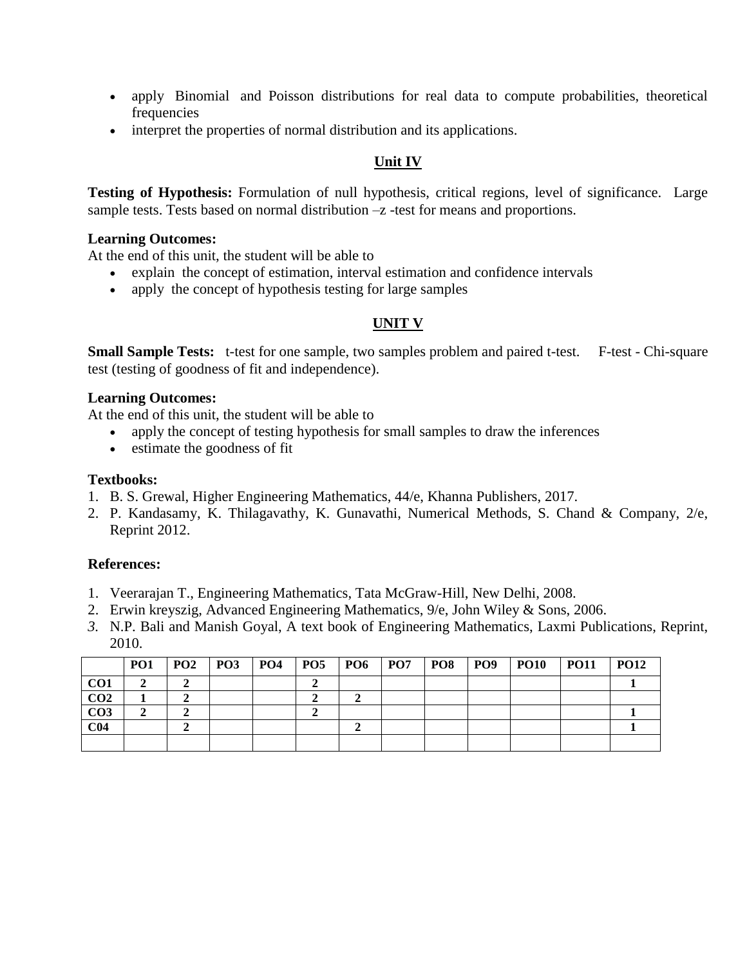- apply Binomial and Poisson distributions for real data to compute probabilities, theoretical frequencies
- interpret the properties of normal distribution and its applications.

## **Unit IV**

**Testing of Hypothesis:** Formulation of null hypothesis, critical regions, level of significance. Large sample tests. Tests based on normal distribution  $-z$  -test for means and proportions.

#### **Learning Outcomes:**

At the end of this unit, the student will be able to

- explain the concept of estimation, interval estimation and confidence intervals
- apply the concept of hypothesis testing for large samples

## **UNIT V**

**Small Sample Tests:** t-test for one sample, two samples problem and paired t-test. F-test - Chi-square test (testing of goodness of fit and independence).

### **Learning Outcomes:**

At the end of this unit, the student will be able to

- apply the concept of testing hypothesis for small samples to draw the inferences
- estimate the goodness of fit

#### **Textbooks:**

- 1. B. S. Grewal, Higher Engineering Mathematics, 44/e, Khanna Publishers, 2017.
- 2. P. Kandasamy, K. Thilagavathy, K. Gunavathi, Numerical Methods, S. Chand & Company, 2/e, Reprint 2012.

#### **References:**

- 1. Veerarajan T., Engineering Mathematics, Tata McGraw-Hill, New Delhi, 2008.
- 2. Erwin kreyszig, Advanced Engineering Mathematics, 9/e, John Wiley & Sons, 2006.
- *3.* N.P. Bali and Manish Goyal, A text book of Engineering Mathematics, Laxmi Publications, Reprint, 2010.

|                 | PO1 | PO2 | <b>PO3</b> | $PO4$   PO5 | <b>PO6</b> | $ $ PO7 | <b>PO8</b> | <b>PO9</b> | <b>PO10</b> | <b>PO11</b> | <b>PO12</b> |
|-----------------|-----|-----|------------|-------------|------------|---------|------------|------------|-------------|-------------|-------------|
| CO <sub>1</sub> |     |     |            |             |            |         |            |            |             |             |             |
| CO <sub>2</sub> |     |     |            |             |            |         |            |            |             |             |             |
| CO <sub>3</sub> |     |     |            |             |            |         |            |            |             |             |             |
| C <sub>04</sub> |     |     |            |             |            |         |            |            |             |             |             |
|                 |     |     |            |             |            |         |            |            |             |             |             |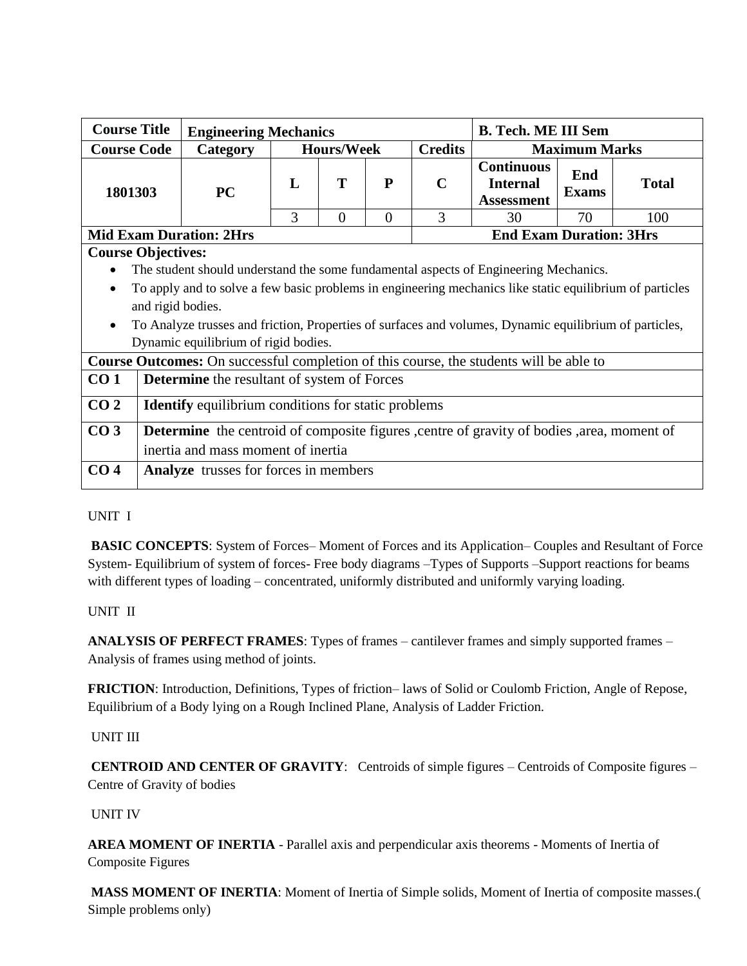| <b>Course Title</b>                                                                                                   | <b>Engineering Mechanics</b>                                                                           |                                |                   |                |                | <b>B. Tech. ME III Sem</b>                                |                      |              |  |
|-----------------------------------------------------------------------------------------------------------------------|--------------------------------------------------------------------------------------------------------|--------------------------------|-------------------|----------------|----------------|-----------------------------------------------------------|----------------------|--------------|--|
| <b>Course Code</b>                                                                                                    | Category                                                                                               |                                | <b>Hours/Week</b> |                | <b>Credits</b> |                                                           | <b>Maximum Marks</b> |              |  |
| 1801303                                                                                                               | <b>PC</b>                                                                                              | L                              | T                 | P              | $\mathbf C$    | <b>Continuous</b><br><b>Internal</b><br><b>Assessment</b> | End<br><b>Exams</b>  | <b>Total</b> |  |
|                                                                                                                       |                                                                                                        | 3                              | $\overline{0}$    | $\overline{0}$ | 3              | 30                                                        | 70                   | 100          |  |
| <b>Mid Exam Duration: 2Hrs</b>                                                                                        |                                                                                                        | <b>End Exam Duration: 3Hrs</b> |                   |                |                |                                                           |                      |              |  |
| <b>Course Objectives:</b>                                                                                             |                                                                                                        |                                |                   |                |                |                                                           |                      |              |  |
|                                                                                                                       | The student should understand the some fundamental aspects of Engineering Mechanics.                   |                                |                   |                |                |                                                           |                      |              |  |
| To apply and to solve a few basic problems in engineering mechanics like static equilibrium of particles<br>$\bullet$ |                                                                                                        |                                |                   |                |                |                                                           |                      |              |  |
|                                                                                                                       | and rigid bodies.                                                                                      |                                |                   |                |                |                                                           |                      |              |  |
| $\bullet$                                                                                                             | To Analyze trusses and friction, Properties of surfaces and volumes, Dynamic equilibrium of particles, |                                |                   |                |                |                                                           |                      |              |  |
|                                                                                                                       | Dynamic equilibrium of rigid bodies.                                                                   |                                |                   |                |                |                                                           |                      |              |  |
|                                                                                                                       | <b>Course Outcomes:</b> On successful completion of this course, the students will be able to          |                                |                   |                |                |                                                           |                      |              |  |
| CO <sub>1</sub>                                                                                                       | <b>Determine</b> the resultant of system of Forces                                                     |                                |                   |                |                |                                                           |                      |              |  |
|                                                                                                                       |                                                                                                        |                                |                   |                |                |                                                           |                      |              |  |
| CO <sub>2</sub>                                                                                                       | <b>Identify</b> equilibrium conditions for static problems                                             |                                |                   |                |                |                                                           |                      |              |  |
| CO <sub>3</sub>                                                                                                       | <b>Determine</b> the centroid of composite figures, centre of gravity of bodies, area, moment of       |                                |                   |                |                |                                                           |                      |              |  |
|                                                                                                                       | inertia and mass moment of inertia                                                                     |                                |                   |                |                |                                                           |                      |              |  |
| CO <sub>4</sub>                                                                                                       | <b>Analyze</b> trusses for forces in members                                                           |                                |                   |                |                |                                                           |                      |              |  |

#### UNIT I

**BASIC CONCEPTS**: System of Forces– Moment of Forces and its Application– Couples and Resultant of Force System- Equilibrium of system of forces- Free body diagrams –Types of Supports –Support reactions for beams with different types of loading – concentrated, uniformly distributed and uniformly varying loading.

#### UNIT II

**ANALYSIS OF PERFECT FRAMES**: Types of frames – cantilever frames and simply supported frames – Analysis of frames using method of joints.

**FRICTION**: Introduction, Definitions, Types of friction– laws of Solid or Coulomb Friction, Angle of Repose, Equilibrium of a Body lying on a Rough Inclined Plane, Analysis of Ladder Friction.

#### UNIT III

**CENTROID AND CENTER OF GRAVITY**: Centroids of simple figures – Centroids of Composite figures – Centre of Gravity of bodies

#### UNIT IV

**AREA MOMENT OF INERTIA** - Parallel axis and perpendicular axis theorems - Moments of Inertia of Composite Figures

**MASS MOMENT OF INERTIA**: Moment of Inertia of Simple solids, Moment of Inertia of composite masses.( Simple problems only)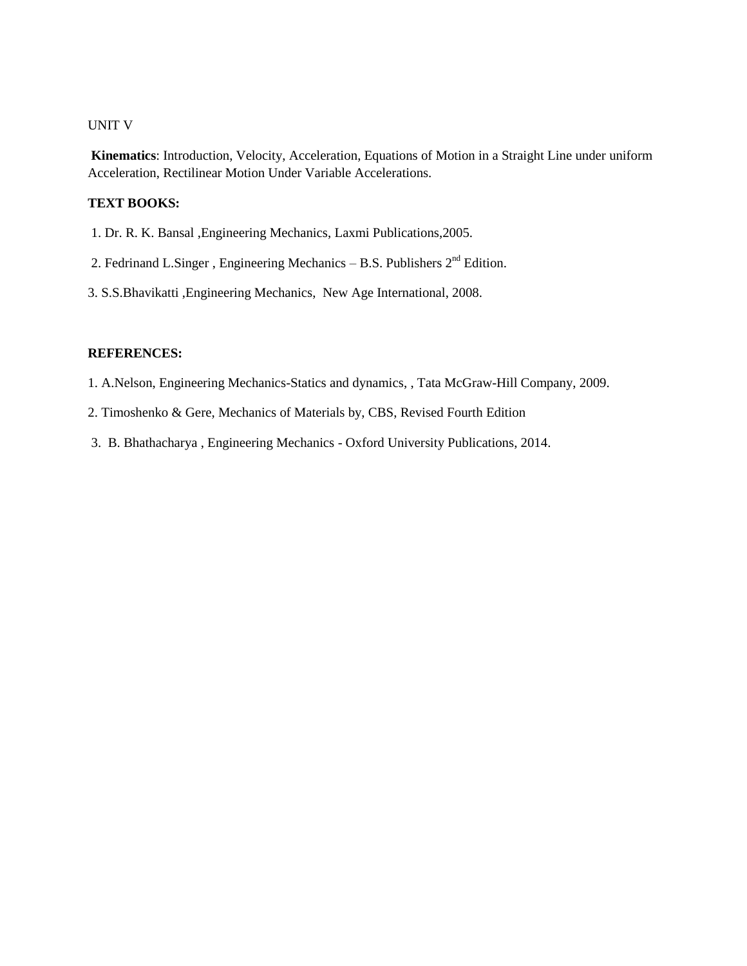#### UNIT V

**Kinematics**: Introduction, Velocity, Acceleration, Equations of Motion in a Straight Line under uniform Acceleration, Rectilinear Motion Under Variable Accelerations.

#### **TEXT BOOKS:**

- 1. Dr. R. K. Bansal ,Engineering Mechanics, Laxmi Publications,2005.
- 2. Fedrinand L.Singer, Engineering Mechanics B.S. Publishers  $2<sup>nd</sup>$  Edition.
- 3. S.S.Bhavikatti ,Engineering Mechanics, New Age International, 2008.

#### **REFERENCES:**

1. A.Nelson, Engineering Mechanics-Statics and dynamics, , Tata McGraw-Hill Company, 2009.

- 2. Timoshenko & Gere, Mechanics of Materials by, CBS, Revised Fourth Edition
- 3. B. Bhathacharya , Engineering Mechanics Oxford University Publications, 2014.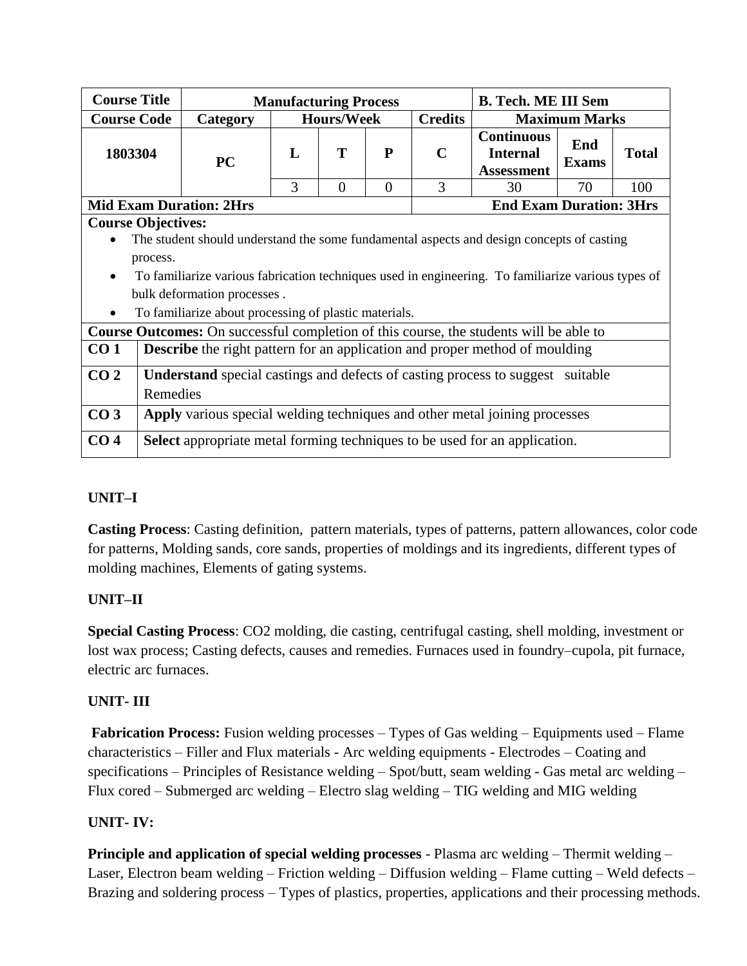| <b>Course Title</b> |                                                                                           |                                                                                                    | <b>Manufacturing Process</b> |          |          |                | <b>B. Tech. ME III Sem</b>                                |                      |              |  |  |
|---------------------|-------------------------------------------------------------------------------------------|----------------------------------------------------------------------------------------------------|------------------------------|----------|----------|----------------|-----------------------------------------------------------|----------------------|--------------|--|--|
| <b>Course Code</b>  |                                                                                           | Category                                                                                           | <b>Hours/Week</b>            |          |          | <b>Credits</b> |                                                           | <b>Maximum Marks</b> |              |  |  |
| 1803304             |                                                                                           | <b>PC</b>                                                                                          | $\mathbf{L}$                 | T        | P        | $\mathbf C$    | <b>Continuous</b><br><b>Internal</b><br><b>Assessment</b> | End<br><b>Exams</b>  | <b>Total</b> |  |  |
|                     |                                                                                           |                                                                                                    | 3                            | $\Omega$ | $\Omega$ | 3              | 30                                                        | 70                   | 100          |  |  |
|                     | <b>End Exam Duration: 3Hrs</b><br><b>Mid Exam Duration: 2Hrs</b>                          |                                                                                                    |                              |          |          |                |                                                           |                      |              |  |  |
|                     | <b>Course Objectives:</b>                                                                 |                                                                                                    |                              |          |          |                |                                                           |                      |              |  |  |
|                     | The student should understand the some fundamental aspects and design concepts of casting |                                                                                                    |                              |          |          |                |                                                           |                      |              |  |  |
|                     | process.                                                                                  |                                                                                                    |                              |          |          |                |                                                           |                      |              |  |  |
| $\bullet$           |                                                                                           | To familiarize various fabrication techniques used in engineering. To familiarize various types of |                              |          |          |                |                                                           |                      |              |  |  |
|                     |                                                                                           | bulk deformation processes.                                                                        |                              |          |          |                |                                                           |                      |              |  |  |
| $\bullet$           |                                                                                           | To familiarize about processing of plastic materials.                                              |                              |          |          |                |                                                           |                      |              |  |  |
|                     |                                                                                           | <b>Course Outcomes:</b> On successful completion of this course, the students will be able to      |                              |          |          |                |                                                           |                      |              |  |  |
| CO <sub>1</sub>     |                                                                                           | <b>Describe</b> the right pattern for an application and proper method of moulding                 |                              |          |          |                |                                                           |                      |              |  |  |
| CO <sub>2</sub>     |                                                                                           | <b>Understand</b> special castings and defects of casting process to suggest suitable              |                              |          |          |                |                                                           |                      |              |  |  |
|                     | Remedies                                                                                  |                                                                                                    |                              |          |          |                |                                                           |                      |              |  |  |
| CO <sub>3</sub>     | Apply various special welding techniques and other metal joining processes                |                                                                                                    |                              |          |          |                |                                                           |                      |              |  |  |
| CO <sub>4</sub>     |                                                                                           | <b>Select</b> appropriate metal forming techniques to be used for an application.                  |                              |          |          |                |                                                           |                      |              |  |  |

# **UNIT–I**

**Casting Process**: Casting definition, pattern materials, types of patterns, pattern allowances, color code for patterns, Molding sands, core sands, properties of moldings and its ingredients, different types of molding machines, Elements of gating systems.

# **UNIT–II**

**Special Casting Process**: CO2 molding, die casting, centrifugal casting, shell molding, investment or lost wax process; Casting defects, causes and remedies. Furnaces used in foundry–cupola, pit furnace, electric arc furnaces.

## **UNIT- III**

**Fabrication Process:** Fusion welding processes – Types of Gas welding – Equipments used – Flame characteristics – Filler and Flux materials - Arc welding equipments - Electrodes – Coating and specifications – Principles of Resistance welding – Spot/butt, seam welding - Gas metal arc welding – Flux cored – Submerged arc welding – Electro slag welding – TIG welding and MIG welding

# **UNIT- IV:**

**Principle and application of special welding processes** - Plasma arc welding – Thermit welding – Laser, Electron beam welding – Friction welding – Diffusion welding – Flame cutting – Weld defects – Brazing and soldering process – Types of plastics, properties, applications and their processing methods.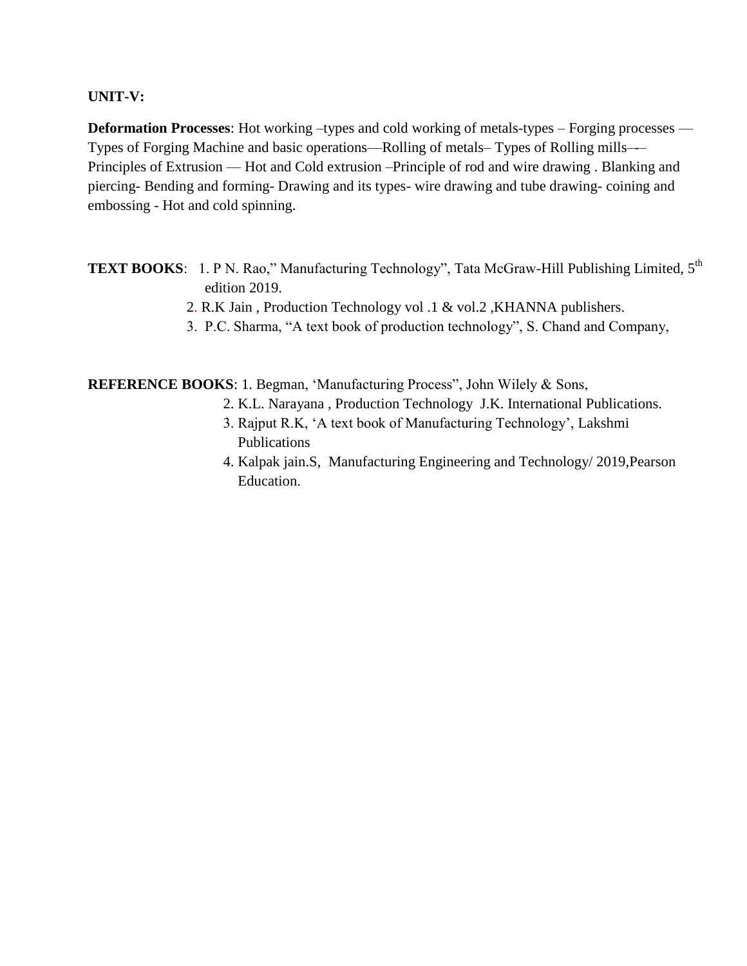## **UNIT-V:**

**Deformation Processes**: Hot working –types and cold working of metals-types – Forging processes — Types of Forging Machine and basic operations––Rolling of metals– Types of Rolling mills–-– Principles of Extrusion –– Hot and Cold extrusion –Principle of rod and wire drawing . Blanking and piercing- Bending and forming- Drawing and its types- wire drawing and tube drawing- coining and embossing - Hot and cold spinning.

**TEXT BOOKS**: 1. P N. Rao," Manufacturing Technology", Tata McGraw-Hill Publishing Limited, 5<sup>th</sup> edition 2019.

- 2. R.K Jain , Production Technology vol .1 & vol.2 ,KHANNA publishers.
- 3. P.C. Sharma, "A text book of production technology", S. Chand and Company,

**REFERENCE BOOKS**: 1. Begman, 'Manufacturing Process", John Wilely & Sons,

- 2. K.L. Narayana , Production Technology J.K. International Publications.
- 3. Rajput R.K, 'A text book of Manufacturing Technology', Lakshmi Publications
- 4. Kalpak jain.S, Manufacturing Engineering and Technology/ 2019,Pearson Education.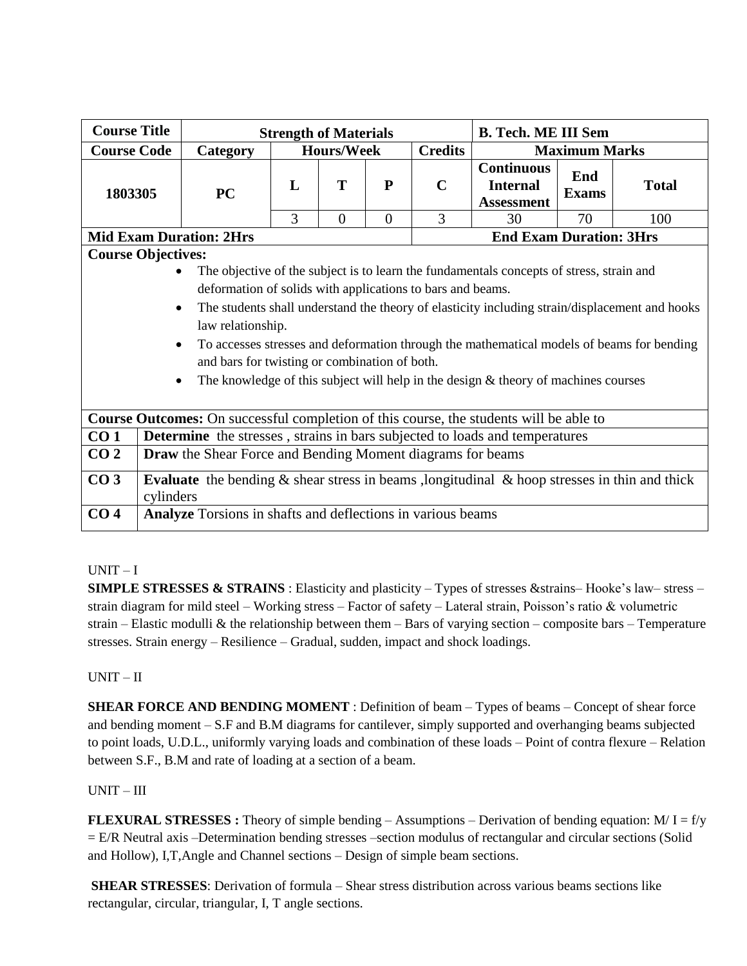| <b>Course Title</b> |                                                                                                                                                                                                                                                                                                                                                                                                                                                                                                                                                                             | <b>Strength of Materials</b> |                                |                |                | <b>B. Tech. ME III Sem</b>                                |                      |              |  |  |  |
|---------------------|-----------------------------------------------------------------------------------------------------------------------------------------------------------------------------------------------------------------------------------------------------------------------------------------------------------------------------------------------------------------------------------------------------------------------------------------------------------------------------------------------------------------------------------------------------------------------------|------------------------------|--------------------------------|----------------|----------------|-----------------------------------------------------------|----------------------|--------------|--|--|--|
| <b>Course Code</b>  | Category                                                                                                                                                                                                                                                                                                                                                                                                                                                                                                                                                                    |                              | <b>Hours/Week</b>              |                | <b>Credits</b> |                                                           | <b>Maximum Marks</b> |              |  |  |  |
| 1803305             | <b>PC</b>                                                                                                                                                                                                                                                                                                                                                                                                                                                                                                                                                                   | L                            | T                              | ${\bf P}$      | $\mathbf C$    | <b>Continuous</b><br><b>Internal</b><br><b>Assessment</b> | End<br><b>Exams</b>  | <b>Total</b> |  |  |  |
|                     |                                                                                                                                                                                                                                                                                                                                                                                                                                                                                                                                                                             | 3                            | $\overline{0}$                 | $\overline{0}$ | 3              | 30                                                        | 70                   | 100          |  |  |  |
|                     | <b>Mid Exam Duration: 2Hrs</b>                                                                                                                                                                                                                                                                                                                                                                                                                                                                                                                                              |                              | <b>End Exam Duration: 3Hrs</b> |                |                |                                                           |                      |              |  |  |  |
|                     | <b>Course Objectives:</b><br>The objective of the subject is to learn the fundamentals concepts of stress, strain and<br>deformation of solids with applications to bars and beams.<br>The students shall understand the theory of elasticity including strain/displacement and hooks<br>$\bullet$<br>law relationship.<br>To accesses stresses and deformation through the mathematical models of beams for bending<br>$\bullet$<br>and bars for twisting or combination of both.<br>The knowledge of this subject will help in the design $\&$ theory of machines courses |                              |                                |                |                |                                                           |                      |              |  |  |  |
|                     | <b>Course Outcomes:</b> On successful completion of this course, the students will be able to                                                                                                                                                                                                                                                                                                                                                                                                                                                                               |                              |                                |                |                |                                                           |                      |              |  |  |  |
| CO <sub>1</sub>     | <b>Determine</b> the stresses, strains in bars subjected to loads and temperatures                                                                                                                                                                                                                                                                                                                                                                                                                                                                                          |                              |                                |                |                |                                                           |                      |              |  |  |  |
| CO <sub>2</sub>     | <b>Draw</b> the Shear Force and Bending Moment diagrams for beams                                                                                                                                                                                                                                                                                                                                                                                                                                                                                                           |                              |                                |                |                |                                                           |                      |              |  |  |  |
| CO <sub>3</sub>     | <b>Evaluate</b> the bending $\&$ shear stress in beams , longitudinal $\&$ hoop stresses in thin and thick<br>cylinders                                                                                                                                                                                                                                                                                                                                                                                                                                                     |                              |                                |                |                |                                                           |                      |              |  |  |  |
| CO <sub>4</sub>     | Analyze Torsions in shafts and deflections in various beams                                                                                                                                                                                                                                                                                                                                                                                                                                                                                                                 |                              |                                |                |                |                                                           |                      |              |  |  |  |

#### UNIT – I

**SIMPLE STRESSES & STRAINS** : Elasticity and plasticity – Types of stresses & strains– Hooke's law– stress – strain diagram for mild steel – Working stress – Factor of safety – Lateral strain, Poisson's ratio & volumetric strain – Elastic modulli & the relationship between them – Bars of varying section – composite bars – Temperature stresses. Strain energy – Resilience – Gradual, sudden, impact and shock loadings.

## UNIT – II

**SHEAR FORCE AND BENDING MOMENT** : Definition of beam – Types of beams – Concept of shear force and bending moment – S.F and B.M diagrams for cantilever, simply supported and overhanging beams subjected to point loads, U.D.L., uniformly varying loads and combination of these loads – Point of contra flexure – Relation between S.F., B.M and rate of loading at a section of a beam.

#### $UNIT - III$

**FLEXURAL STRESSES**: Theory of simple bending  $-$  Assumptions  $-$  Derivation of bending equation: M/ I = f/y = E/R Neutral axis –Determination bending stresses –section modulus of rectangular and circular sections (Solid and Hollow), I,T,Angle and Channel sections – Design of simple beam sections.

**SHEAR STRESSES**: Derivation of formula – Shear stress distribution across various beams sections like rectangular, circular, triangular, I, T angle sections.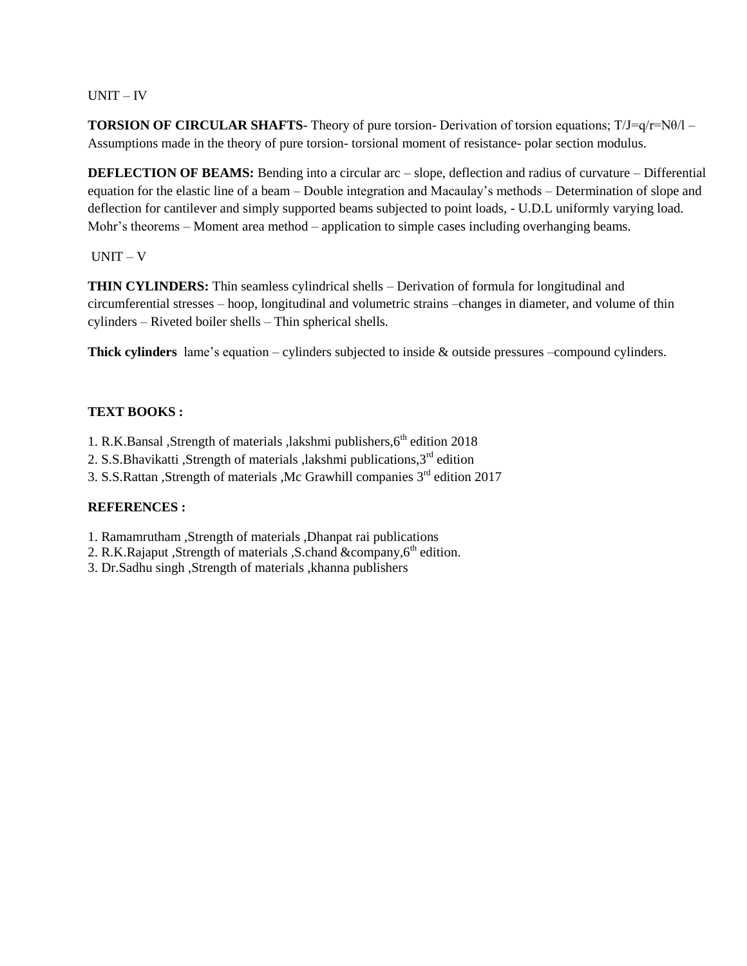#### UNIT – IV

**TORSION OF CIRCULAR SHAFTS**- Theory of pure torsion- Derivation of torsion equations; T/J=q/r=Nθ/l – Assumptions made in the theory of pure torsion- torsional moment of resistance- polar section modulus.

**DEFLECTION OF BEAMS:** Bending into a circular arc – slope, deflection and radius of curvature – Differential equation for the elastic line of a beam – Double integration and Macaulay's methods – Determination of slope and deflection for cantilever and simply supported beams subjected to point loads, - U.D.L uniformly varying load. Mohr's theorems – Moment area method – application to simple cases including overhanging beams.

#### UNIT – V

**THIN CYLINDERS:** Thin seamless cylindrical shells – Derivation of formula for longitudinal and circumferential stresses – hoop, longitudinal and volumetric strains –changes in diameter, and volume of thin cylinders – Riveted boiler shells – Thin spherical shells.

**Thick cylinders** lame's equation – cylinders subjected to inside & outside pressures –compound cylinders.

#### **TEXT BOOKS :**

- 1. R.K.Bansal ,Strength of materials ,lakshmi publishers, 6<sup>th</sup> edition 2018
- 2. S.S.Bhavikatti ,Strength of materials ,lakshmi publications,3rd edition
- 3. S.S.Rattan ,Strength of materials ,Mc Grawhill companies  $3<sup>rd</sup>$  edition 2017

#### **REFERENCES :**

- 1. Ramamrutham ,Strength of materials ,Dhanpat rai publications
- 2. R.K.Rajaput ,Strength of materials ,S.chand  $&$ company, $6<sup>th</sup>$  edition.
- 3. Dr.Sadhu singh ,Strength of materials ,khanna publishers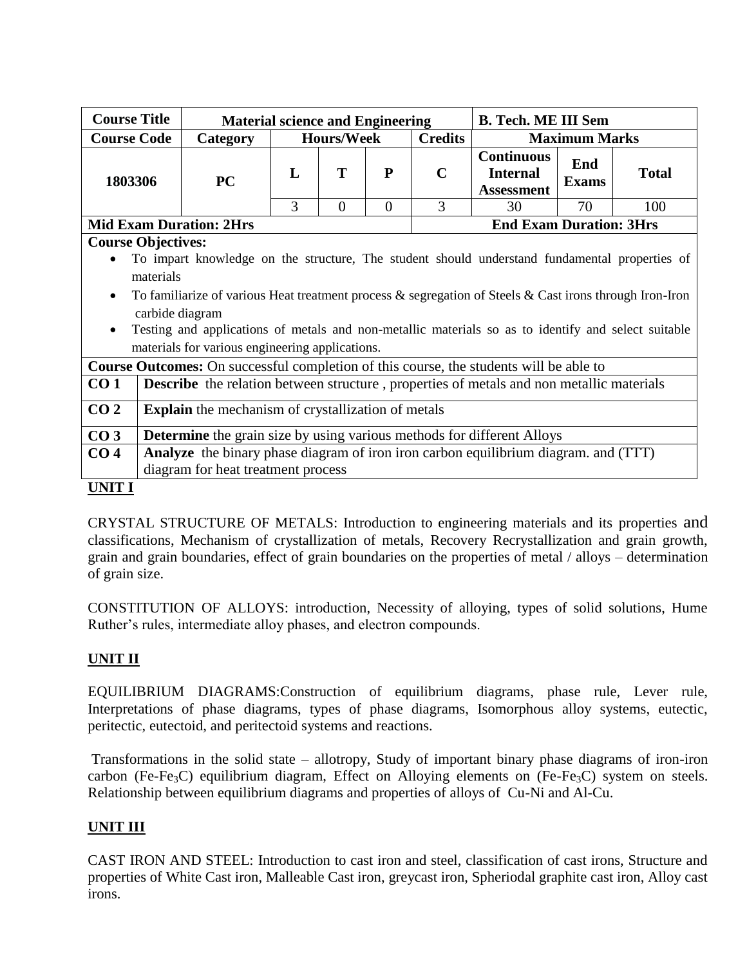| <b>Course Title</b>                                                                              |                                                                                                                                                                                                                                                                                                                                                                                                          | <b>Material science and Engineering</b>                                                         |   |                   |           |                                | <b>B. Tech. ME III Sem</b>                                |                      |              |  |
|--------------------------------------------------------------------------------------------------|----------------------------------------------------------------------------------------------------------------------------------------------------------------------------------------------------------------------------------------------------------------------------------------------------------------------------------------------------------------------------------------------------------|-------------------------------------------------------------------------------------------------|---|-------------------|-----------|--------------------------------|-----------------------------------------------------------|----------------------|--------------|--|
| <b>Course Code</b>                                                                               |                                                                                                                                                                                                                                                                                                                                                                                                          | Category                                                                                        |   | <b>Hours/Week</b> |           | <b>Credits</b>                 |                                                           | <b>Maximum Marks</b> |              |  |
| 1803306                                                                                          |                                                                                                                                                                                                                                                                                                                                                                                                          | <b>PC</b>                                                                                       | L | T                 | ${\bf P}$ | $\mathbf C$                    | <b>Continuous</b><br><b>Internal</b><br><b>Assessment</b> | End<br><b>Exams</b>  | <b>Total</b> |  |
|                                                                                                  |                                                                                                                                                                                                                                                                                                                                                                                                          |                                                                                                 | 3 | $\theta$          | $\Omega$  | 3                              | 30                                                        | 70                   | 100          |  |
|                                                                                                  |                                                                                                                                                                                                                                                                                                                                                                                                          | <b>Mid Exam Duration: 2Hrs</b>                                                                  |   |                   |           | <b>End Exam Duration: 3Hrs</b> |                                                           |                      |              |  |
| <b>Course Objectives:</b>                                                                        |                                                                                                                                                                                                                                                                                                                                                                                                          |                                                                                                 |   |                   |           |                                |                                                           |                      |              |  |
| $\bullet$                                                                                        | To impart knowledge on the structure, The student should understand fundamental properties of<br>materials<br>To familiarize of various Heat treatment process $\&$ segregation of Steels $\&$ Cast irons through Iron-Iron<br>carbide diagram<br>Testing and applications of metals and non-metallic materials so as to identify and select suitable<br>materials for various engineering applications. |                                                                                                 |   |                   |           |                                |                                                           |                      |              |  |
|                                                                                                  |                                                                                                                                                                                                                                                                                                                                                                                                          | <b>Course Outcomes:</b> On successful completion of this course, the students will be able to   |   |                   |           |                                |                                                           |                      |              |  |
| CO <sub>1</sub>                                                                                  |                                                                                                                                                                                                                                                                                                                                                                                                          | <b>Describe</b> the relation between structure, properties of metals and non metallic materials |   |                   |           |                                |                                                           |                      |              |  |
| CO <sub>2</sub>                                                                                  |                                                                                                                                                                                                                                                                                                                                                                                                          | <b>Explain</b> the mechanism of crystallization of metals                                       |   |                   |           |                                |                                                           |                      |              |  |
| CO <sub>3</sub><br><b>Determine</b> the grain size by using various methods for different Alloys |                                                                                                                                                                                                                                                                                                                                                                                                          |                                                                                                 |   |                   |           |                                |                                                           |                      |              |  |
| CO <sub>4</sub>                                                                                  | Analyze the binary phase diagram of iron iron carbon equilibrium diagram. and (TTT)                                                                                                                                                                                                                                                                                                                      |                                                                                                 |   |                   |           |                                |                                                           |                      |              |  |
|                                                                                                  |                                                                                                                                                                                                                                                                                                                                                                                                          | diagram for heat treatment process                                                              |   |                   |           |                                |                                                           |                      |              |  |
| <b>UNIT I</b>                                                                                    |                                                                                                                                                                                                                                                                                                                                                                                                          |                                                                                                 |   |                   |           |                                |                                                           |                      |              |  |

CRYSTAL STRUCTURE OF METALS: Introduction to engineering materials and its properties and classifications, Mechanism of crystallization of metals, Recovery Recrystallization and grain growth, grain and grain boundaries, effect of grain boundaries on the properties of metal / alloys – determination of grain size.

CONSTITUTION OF ALLOYS: introduction, Necessity of alloying, types of solid solutions, Hume Ruther's rules, intermediate alloy phases, and electron compounds.

# **UNIT II**

EQUILIBRIUM DIAGRAMS:Construction of equilibrium diagrams, phase rule, Lever rule, Interpretations of phase diagrams, types of phase diagrams, Isomorphous alloy systems, eutectic, peritectic, eutectoid, and peritectoid systems and reactions.

Transformations in the solid state – allotropy, Study of important binary phase diagrams of iron-iron carbon (Fe-Fe<sub>3</sub>C) equilibrium diagram, Effect on Alloying elements on (Fe-Fe<sub>3</sub>C) system on steels. Relationship between equilibrium diagrams and properties of alloys of Cu-Ni and Al-Cu.

# **UNIT III**

CAST IRON AND STEEL: Introduction to cast iron and steel, classification of cast irons, Structure and properties of White Cast iron, Malleable Cast iron, greycast iron, Spheriodal graphite cast iron, Alloy cast irons.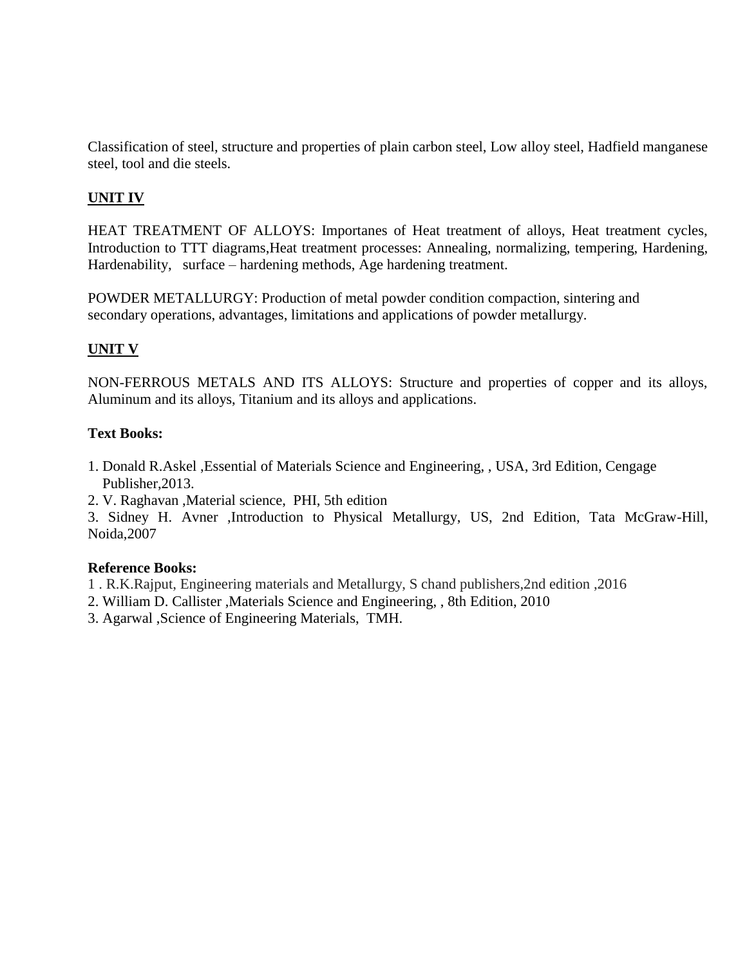Classification of steel, structure and properties of plain carbon steel, Low alloy steel, Hadfield manganese steel, tool and die steels.

# **UNIT IV**

HEAT TREATMENT OF ALLOYS: Importanes of Heat treatment of alloys, Heat treatment cycles, Introduction to TTT diagrams,Heat treatment processes: Annealing, normalizing, tempering, Hardening, Hardenability, surface – hardening methods, Age hardening treatment.

POWDER METALLURGY: Production of metal powder condition compaction, sintering and secondary operations, advantages, limitations and applications of powder metallurgy.

# **UNIT V**

NON-FERROUS METALS AND ITS ALLOYS: Structure and properties of copper and its alloys, Aluminum and its alloys, Titanium and its alloys and applications.

## **Text Books:**

- 1. Donald R.Askel ,Essential of Materials Science and Engineering, , USA, 3rd Edition, Cengage Publisher,2013.
- 2. V. Raghavan ,Material science, PHI, 5th edition

3. Sidney H. Avner ,Introduction to Physical Metallurgy, US, 2nd Edition, Tata McGraw-Hill, Noida,2007

## **Reference Books:**

- 1 . R.K.Rajput, Engineering materials and Metallurgy, S chand publishers,2nd edition ,2016
- 2. William D. Callister ,Materials Science and Engineering, , 8th Edition, 2010
- 3. Agarwal ,Science of Engineering Materials, TMH.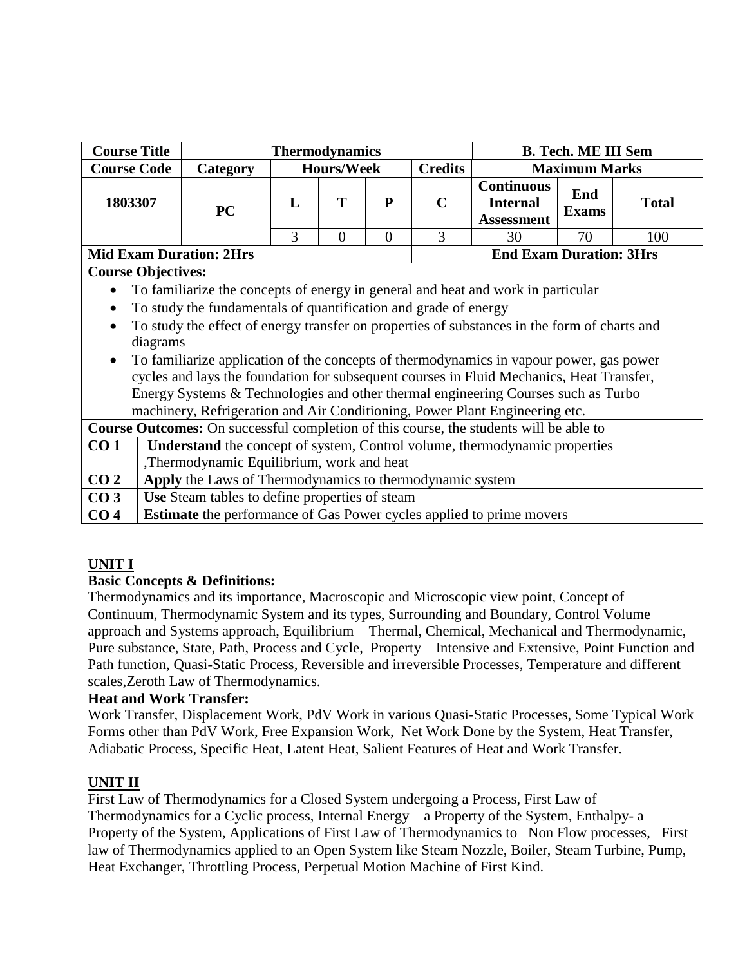| <b>Course Title</b>       |                                                                                  |                                                                                              | <b>Thermodynamics</b> |                   |                | <b>B. Tech. ME III Sem</b> |                                                           |                      |              |  |
|---------------------------|----------------------------------------------------------------------------------|----------------------------------------------------------------------------------------------|-----------------------|-------------------|----------------|----------------------------|-----------------------------------------------------------|----------------------|--------------|--|
| <b>Course Code</b>        |                                                                                  | Category                                                                                     |                       | <b>Hours/Week</b> |                | <b>Credits</b>             |                                                           | <b>Maximum Marks</b> |              |  |
| 1803307                   |                                                                                  | <b>PC</b>                                                                                    | L                     | T                 | P              | $\mathbf C$                | <b>Continuous</b><br><b>Internal</b><br><b>Assessment</b> | End<br><b>Exams</b>  | <b>Total</b> |  |
|                           |                                                                                  |                                                                                              | 3                     | $\overline{0}$    | $\overline{0}$ | 3                          | 30                                                        | 70                   | 100          |  |
|                           | <b>End Exam Duration: 3Hrs</b><br><b>Mid Exam Duration: 2Hrs</b>                 |                                                                                              |                       |                   |                |                            |                                                           |                      |              |  |
| <b>Course Objectives:</b> |                                                                                  |                                                                                              |                       |                   |                |                            |                                                           |                      |              |  |
|                           | To familiarize the concepts of energy in general and heat and work in particular |                                                                                              |                       |                   |                |                            |                                                           |                      |              |  |
| $\bullet$                 | To study the fundamentals of quantification and grade of energy                  |                                                                                              |                       |                   |                |                            |                                                           |                      |              |  |
|                           |                                                                                  | To study the effect of energy transfer on properties of substances in the form of charts and |                       |                   |                |                            |                                                           |                      |              |  |
|                           | diagrams                                                                         |                                                                                              |                       |                   |                |                            |                                                           |                      |              |  |
| $\bullet$                 |                                                                                  | To familiarize application of the concepts of thermodynamics in vapour power, gas power      |                       |                   |                |                            |                                                           |                      |              |  |
|                           |                                                                                  | cycles and lays the foundation for subsequent courses in Fluid Mechanics, Heat Transfer,     |                       |                   |                |                            |                                                           |                      |              |  |
|                           |                                                                                  | Energy Systems & Technologies and other thermal engineering Courses such as Turbo            |                       |                   |                |                            |                                                           |                      |              |  |
|                           |                                                                                  | machinery, Refrigeration and Air Conditioning, Power Plant Engineering etc.                  |                       |                   |                |                            |                                                           |                      |              |  |
|                           |                                                                                  | Course Outcomes: On successful completion of this course, the students will be able to       |                       |                   |                |                            |                                                           |                      |              |  |
| CO <sub>1</sub>           |                                                                                  | <b>Understand</b> the concept of system, Control volume, thermodynamic properties            |                       |                   |                |                            |                                                           |                      |              |  |
|                           |                                                                                  | ,Thermodynamic Equilibrium, work and heat                                                    |                       |                   |                |                            |                                                           |                      |              |  |
| CO <sub>2</sub>           | Apply the Laws of Thermodynamics to thermodynamic system                         |                                                                                              |                       |                   |                |                            |                                                           |                      |              |  |
| CO <sub>3</sub>           | Use Steam tables to define properties of steam                                   |                                                                                              |                       |                   |                |                            |                                                           |                      |              |  |
| CO <sub>4</sub>           |                                                                                  | <b>Estimate</b> the performance of Gas Power cycles applied to prime movers                  |                       |                   |                |                            |                                                           |                      |              |  |

# **UNIT I**

# **Basic Concepts & Definitions:**

Thermodynamics and its importance, Macroscopic and Microscopic view point, Concept of Continuum, Thermodynamic System and its types, Surrounding and Boundary, Control Volume approach and Systems approach, Equilibrium – Thermal, Chemical, Mechanical and Thermodynamic, Pure substance, State, Path, Process and Cycle, Property – Intensive and Extensive, Point Function and Path function, Quasi-Static Process, Reversible and irreversible Processes, Temperature and different scales,Zeroth Law of Thermodynamics.

# **Heat and Work Transfer:**

Work Transfer, Displacement Work, PdV Work in various Quasi-Static Processes, Some Typical Work Forms other than PdV Work, Free Expansion Work, Net Work Done by the System, Heat Transfer, Adiabatic Process, Specific Heat, Latent Heat, Salient Features of Heat and Work Transfer.

# **UNIT II**

First Law of Thermodynamics for a Closed System undergoing a Process, First Law of Thermodynamics for a Cyclic process, Internal Energy – a Property of the System, Enthalpy- a Property of the System, Applications of First Law of Thermodynamics to Non Flow processes, First law of Thermodynamics applied to an Open System like Steam Nozzle, Boiler, Steam Turbine, Pump, Heat Exchanger, Throttling Process, Perpetual Motion Machine of First Kind.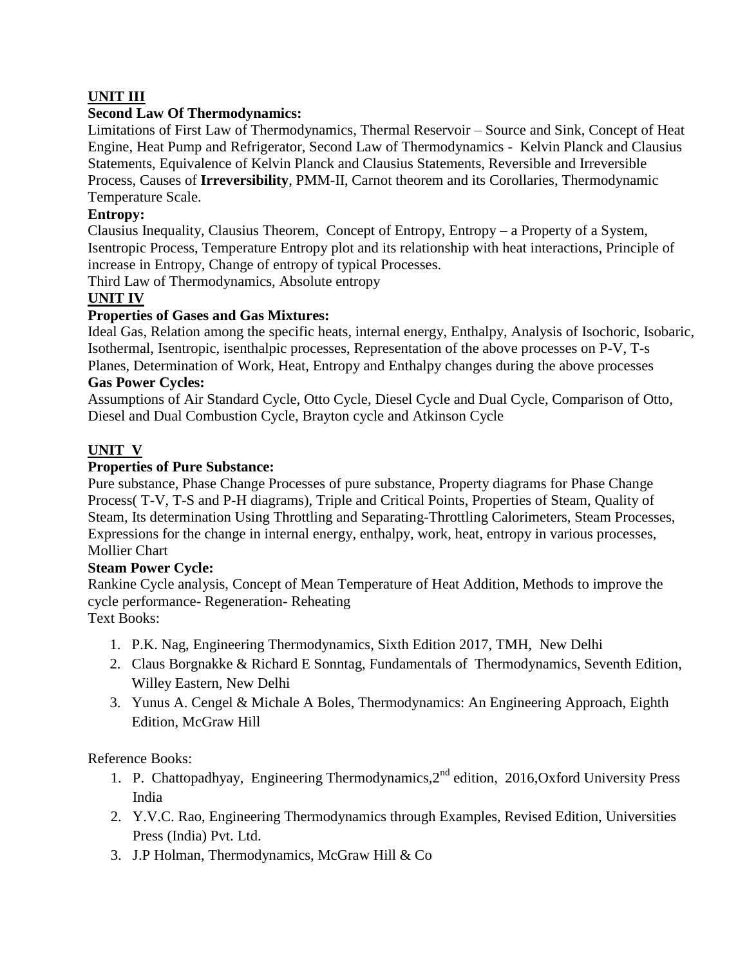# **UNIT III**

## **Second Law Of Thermodynamics:**

Limitations of First Law of Thermodynamics, Thermal Reservoir – Source and Sink, Concept of Heat Engine, Heat Pump and Refrigerator, Second Law of Thermodynamics - Kelvin Planck and Clausius Statements, Equivalence of Kelvin Planck and Clausius Statements, Reversible and Irreversible Process, Causes of **Irreversibility**, PMM-II, Carnot theorem and its Corollaries, Thermodynamic Temperature Scale.

## **Entropy:**

Clausius Inequality, Clausius Theorem, Concept of Entropy, Entropy – a Property of a System, Isentropic Process, Temperature Entropy plot and its relationship with heat interactions, Principle of increase in Entropy, Change of entropy of typical Processes.

Third Law of Thermodynamics, Absolute entropy

# **UNIT IV**

## **Properties of Gases and Gas Mixtures:**

Ideal Gas, Relation among the specific heats, internal energy, Enthalpy, Analysis of Isochoric, Isobaric, Isothermal, Isentropic, isenthalpic processes, Representation of the above processes on P-V, T-s Planes, Determination of Work, Heat, Entropy and Enthalpy changes during the above processes

# **Gas Power Cycles:**

Assumptions of Air Standard Cycle, Otto Cycle, Diesel Cycle and Dual Cycle, Comparison of Otto, Diesel and Dual Combustion Cycle, Brayton cycle and Atkinson Cycle

# **UNIT V**

## **Properties of Pure Substance:**

Pure substance, Phase Change Processes of pure substance, Property diagrams for Phase Change Process( T-V, T-S and P-H diagrams), Triple and Critical Points, Properties of Steam, Quality of Steam, Its determination Using Throttling and Separating-Throttling Calorimeters, Steam Processes, Expressions for the change in internal energy, enthalpy, work, heat, entropy in various processes, Mollier Chart

## **Steam Power Cycle:**

Rankine Cycle analysis, Concept of Mean Temperature of Heat Addition, Methods to improve the cycle performance- Regeneration- Reheating

Text Books:

- 1. P.K. Nag, Engineering Thermodynamics, Sixth Edition 2017, TMH, New Delhi
- 2. Claus Borgnakke & Richard E Sonntag, Fundamentals of Thermodynamics, Seventh Edition, Willey Eastern, New Delhi
- 3. Yunus A. Cengel & Michale A Boles, Thermodynamics: An Engineering Approach, Eighth Edition, McGraw Hill

Reference Books:

- 1. P. Chattopadhyay, Engineering Thermodynamics, 2<sup>nd</sup> edition, 2016, Oxford University Press India
- 2. Y.V.C. Rao, Engineering Thermodynamics through Examples, Revised Edition, Universities Press (India) Pvt. Ltd.
- 3. J.P Holman, Thermodynamics, McGraw Hill & Co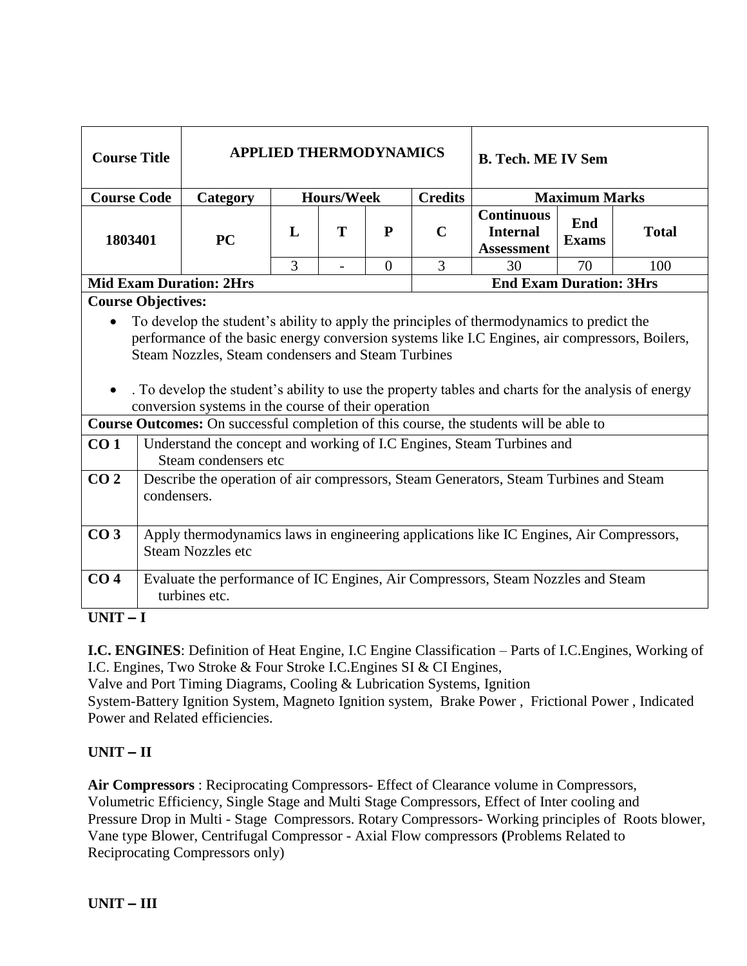| <b>Course Title</b>                                       |                                                                                                   |                                                                                                                                                                                                                                                                                                                                                                                                                                                                                                                                                                                    | <b>APPLIED THERMODYNAMICS</b> |                          |                |                | <b>B. Tech. ME IV Sem</b>                                 |                      |              |  |
|-----------------------------------------------------------|---------------------------------------------------------------------------------------------------|------------------------------------------------------------------------------------------------------------------------------------------------------------------------------------------------------------------------------------------------------------------------------------------------------------------------------------------------------------------------------------------------------------------------------------------------------------------------------------------------------------------------------------------------------------------------------------|-------------------------------|--------------------------|----------------|----------------|-----------------------------------------------------------|----------------------|--------------|--|
| <b>Course Code</b>                                        |                                                                                                   | Category                                                                                                                                                                                                                                                                                                                                                                                                                                                                                                                                                                           |                               | <b>Hours/Week</b>        |                | <b>Credits</b> |                                                           | <b>Maximum Marks</b> |              |  |
| 1803401                                                   |                                                                                                   | <b>PC</b>                                                                                                                                                                                                                                                                                                                                                                                                                                                                                                                                                                          | L                             | T                        | ${\bf P}$      | $\mathbf C$    | <b>Continuous</b><br><b>Internal</b><br><b>Assessment</b> | End<br><b>Exams</b>  | <b>Total</b> |  |
|                                                           |                                                                                                   |                                                                                                                                                                                                                                                                                                                                                                                                                                                                                                                                                                                    | 3                             | $\overline{\phantom{a}}$ | $\overline{0}$ | 3              | 30                                                        | 70                   | 100          |  |
|                                                           |                                                                                                   | <b>Mid Exam Duration: 2Hrs</b>                                                                                                                                                                                                                                                                                                                                                                                                                                                                                                                                                     |                               |                          |                |                | <b>End Exam Duration: 3Hrs</b>                            |                      |              |  |
| <b>Course Objectives:</b><br>$\bullet$<br>CO <sub>1</sub> |                                                                                                   | To develop the student's ability to apply the principles of thermodynamics to predict the<br>performance of the basic energy conversion systems like I.C Engines, air compressors, Boilers,<br>Steam Nozzles, Steam condensers and Steam Turbines<br>. To develop the student's ability to use the property tables and charts for the analysis of energy<br>conversion systems in the course of their operation<br>Course Outcomes: On successful completion of this course, the students will be able to<br>Understand the concept and working of I.C Engines, Steam Turbines and |                               |                          |                |                |                                                           |                      |              |  |
|                                                           |                                                                                                   | Steam condensers etc                                                                                                                                                                                                                                                                                                                                                                                                                                                                                                                                                               |                               |                          |                |                |                                                           |                      |              |  |
| CO <sub>2</sub>                                           | condensers.                                                                                       | Describe the operation of air compressors, Steam Generators, Steam Turbines and Steam                                                                                                                                                                                                                                                                                                                                                                                                                                                                                              |                               |                          |                |                |                                                           |                      |              |  |
| CO <sub>3</sub>                                           |                                                                                                   | Apply thermodynamics laws in engineering applications like IC Engines, Air Compressors,<br><b>Steam Nozzles etc</b>                                                                                                                                                                                                                                                                                                                                                                                                                                                                |                               |                          |                |                |                                                           |                      |              |  |
| CO <sub>4</sub><br><b>TINIT</b><br>$\mathbf{r}$           | Evaluate the performance of IC Engines, Air Compressors, Steam Nozzles and Steam<br>turbines etc. |                                                                                                                                                                                                                                                                                                                                                                                                                                                                                                                                                                                    |                               |                          |                |                |                                                           |                      |              |  |

**UNIT – I**

**I.C. ENGINES**: Definition of Heat Engine, I.C Engine Classification – Parts of I.C.Engines, Working of I.C. Engines, Two Stroke & Four Stroke I.C.Engines SI & CI Engines,

Valve and Port Timing Diagrams, Cooling & Lubrication Systems, Ignition

System-Battery Ignition System, Magneto Ignition system, Brake Power , Frictional Power , Indicated Power and Related efficiencies.

# **UNIT – II**

**Air Compressors** : Reciprocating Compressors- Effect of Clearance volume in Compressors, Volumetric Efficiency, Single Stage and Multi Stage Compressors, Effect of Inter cooling and Pressure Drop in Multi - Stage Compressors. Rotary Compressors- Working principles of Roots blower, Vane type Blower, Centrifugal Compressor - Axial Flow compressors **(**Problems Related to Reciprocating Compressors only)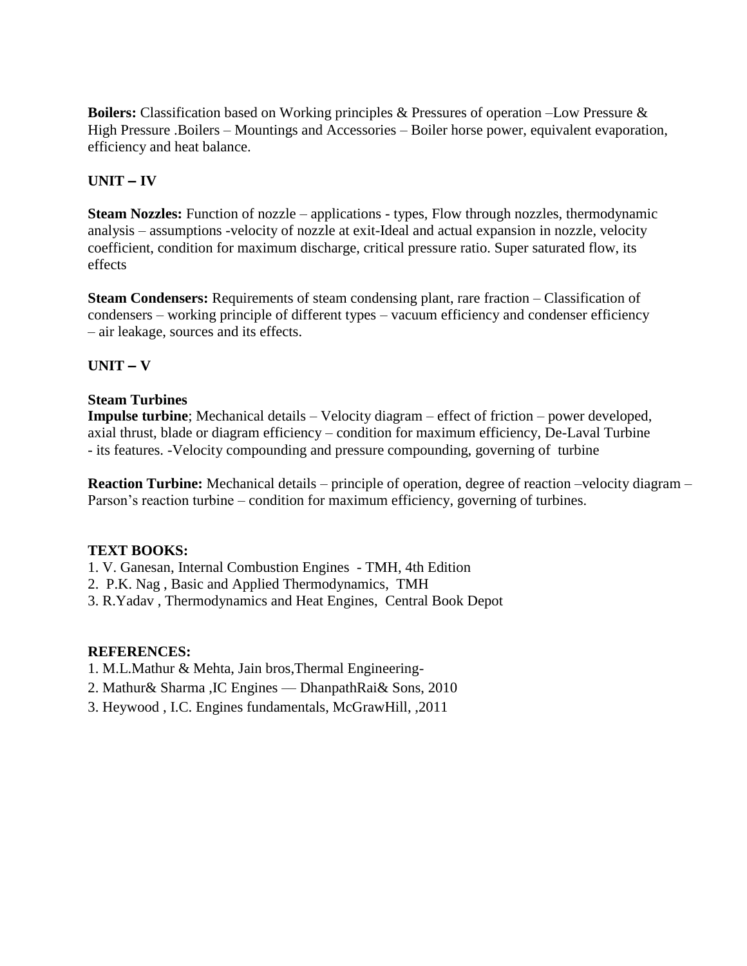**Boilers:** Classification based on Working principles & Pressures of operation –Low Pressure & High Pressure .Boilers – Mountings and Accessories – Boiler horse power, equivalent evaporation, efficiency and heat balance.

# **UNIT – IV**

**Steam Nozzles:** Function of nozzle – applications - types, Flow through nozzles, thermodynamic analysis – assumptions -velocity of nozzle at exit-Ideal and actual expansion in nozzle, velocity coefficient, condition for maximum discharge, critical pressure ratio. Super saturated flow, its effects

**Steam Condensers:** Requirements of steam condensing plant, rare fraction – Classification of condensers – working principle of different types – vacuum efficiency and condenser efficiency – air leakage, sources and its effects.

## **UNIT – V**

## **Steam Turbines**

**Impulse turbine**; Mechanical details – Velocity diagram – effect of friction – power developed, axial thrust, blade or diagram efficiency – condition for maximum efficiency, De-Laval Turbine - its features. -Velocity compounding and pressure compounding, governing of turbine

**Reaction Turbine:** Mechanical details – principle of operation, degree of reaction –velocity diagram – Parson's reaction turbine – condition for maximum efficiency, governing of turbines.

#### **TEXT BOOKS:**

1. V. Ganesan, Internal Combustion Engines - TMH, 4th Edition

- 2. P.K. Nag , Basic and Applied Thermodynamics, TMH
- 3. R.Yadav , Thermodynamics and Heat Engines, Central Book Depot

#### **REFERENCES:**

- 1. M.L.Mathur & Mehta, Jain bros,Thermal Engineering-
- 2. Mathur& Sharma ,IC Engines –– DhanpathRai& Sons, 2010
- 3. Heywood , I.C. Engines fundamentals, McGrawHill, ,2011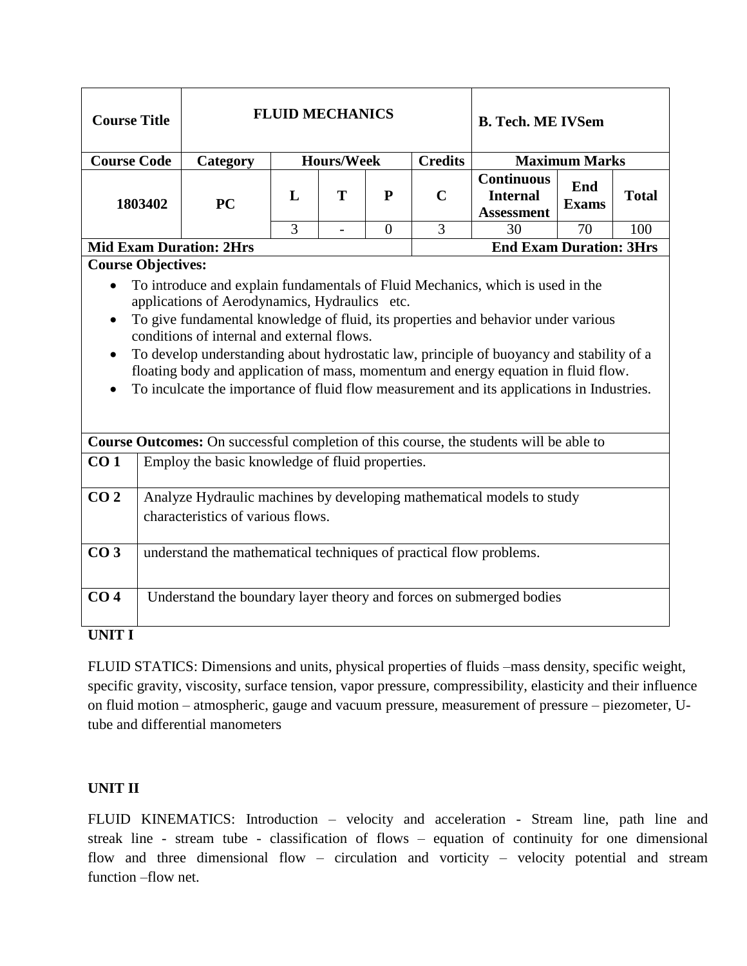| <b>Course Title</b>                 |                                                                                                                                                                                                                                                                                                                                                                                                                                                                 |                                                                                                            | <b>FLUID MECHANICS</b> |                   |                |                | <b>B. Tech. ME IVSem</b>                                                                         |                      |     |  |  |  |  |  |
|-------------------------------------|-----------------------------------------------------------------------------------------------------------------------------------------------------------------------------------------------------------------------------------------------------------------------------------------------------------------------------------------------------------------------------------------------------------------------------------------------------------------|------------------------------------------------------------------------------------------------------------|------------------------|-------------------|----------------|----------------|--------------------------------------------------------------------------------------------------|----------------------|-----|--|--|--|--|--|
| <b>Course Code</b>                  |                                                                                                                                                                                                                                                                                                                                                                                                                                                                 | Category                                                                                                   |                        | <b>Hours/Week</b> |                | <b>Credits</b> |                                                                                                  | <b>Maximum Marks</b> |     |  |  |  |  |  |
| 1803402                             |                                                                                                                                                                                                                                                                                                                                                                                                                                                                 | <b>PC</b>                                                                                                  | L                      | T                 | P              | $\mathbf C$    | <b>Continuous</b><br>End<br><b>Total</b><br><b>Internal</b><br><b>Exams</b><br><b>Assessment</b> |                      |     |  |  |  |  |  |
|                                     |                                                                                                                                                                                                                                                                                                                                                                                                                                                                 |                                                                                                            | 3                      | $\overline{a}$    | $\overline{0}$ | 3              | 30                                                                                               | 70                   | 100 |  |  |  |  |  |
|                                     |                                                                                                                                                                                                                                                                                                                                                                                                                                                                 | <b>Mid Exam Duration: 2Hrs</b>                                                                             |                        |                   |                |                | <b>End Exam Duration: 3Hrs</b>                                                                   |                      |     |  |  |  |  |  |
| <b>Course Objectives:</b>           |                                                                                                                                                                                                                                                                                                                                                                                                                                                                 |                                                                                                            |                        |                   |                |                |                                                                                                  |                      |     |  |  |  |  |  |
| $\bullet$<br>$\bullet$<br>$\bullet$ | applications of Aerodynamics, Hydraulics etc.<br>To give fundamental knowledge of fluid, its properties and behavior under various<br>conditions of internal and external flows.<br>To develop understanding about hydrostatic law, principle of buoyancy and stability of a<br>floating body and application of mass, momentum and energy equation in fluid flow.<br>To inculcate the importance of fluid flow measurement and its applications in Industries. |                                                                                                            |                        |                   |                |                |                                                                                                  |                      |     |  |  |  |  |  |
|                                     |                                                                                                                                                                                                                                                                                                                                                                                                                                                                 | Course Outcomes: On successful completion of this course, the students will be able to                     |                        |                   |                |                |                                                                                                  |                      |     |  |  |  |  |  |
| CO <sub>1</sub>                     |                                                                                                                                                                                                                                                                                                                                                                                                                                                                 | Employ the basic knowledge of fluid properties.                                                            |                        |                   |                |                |                                                                                                  |                      |     |  |  |  |  |  |
| CO <sub>2</sub>                     |                                                                                                                                                                                                                                                                                                                                                                                                                                                                 | Analyze Hydraulic machines by developing mathematical models to study<br>characteristics of various flows. |                        |                   |                |                |                                                                                                  |                      |     |  |  |  |  |  |
| CO <sub>3</sub>                     |                                                                                                                                                                                                                                                                                                                                                                                                                                                                 | understand the mathematical techniques of practical flow problems.                                         |                        |                   |                |                |                                                                                                  |                      |     |  |  |  |  |  |
| CO <sub>4</sub><br><b>TINITT T</b>  |                                                                                                                                                                                                                                                                                                                                                                                                                                                                 | Understand the boundary layer theory and forces on submerged bodies                                        |                        |                   |                |                |                                                                                                  |                      |     |  |  |  |  |  |

**UNIT I** 

FLUID STATICS: Dimensions and units, physical properties of fluids –mass density, specific weight, specific gravity, viscosity, surface tension, vapor pressure, compressibility, elasticity and their influence on fluid motion – atmospheric, gauge and vacuum pressure, measurement of pressure – piezometer, Utube and differential manometers

# **UNIT II**

FLUID KINEMATICS: Introduction – velocity and acceleration - Stream line, path line and streak line - stream tube - classification of flows – equation of continuity for one dimensional flow and three dimensional flow – circulation and vorticity – velocity potential and stream function –flow net.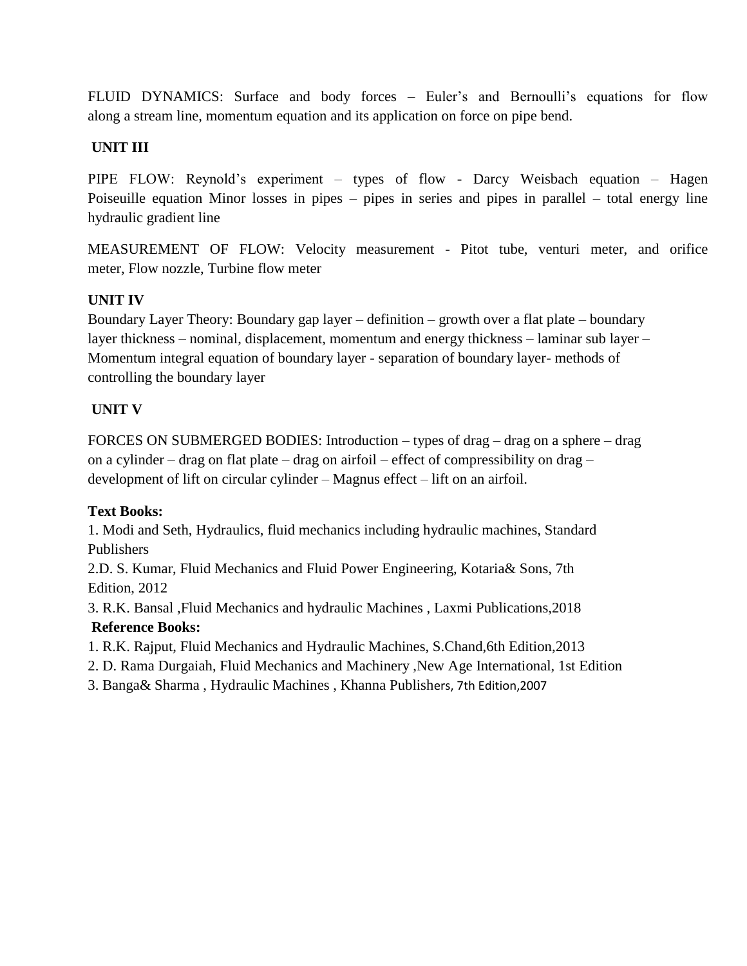FLUID DYNAMICS: Surface and body forces – Euler's and Bernoulli's equations for flow along a stream line, momentum equation and its application on force on pipe bend.

# **UNIT III**

PIPE FLOW: Reynold's experiment – types of flow - Darcy Weisbach equation – Hagen Poiseuille equation Minor losses in pipes – pipes in series and pipes in parallel – total energy line hydraulic gradient line

MEASUREMENT OF FLOW: Velocity measurement - Pitot tube, venturi meter, and orifice meter, Flow nozzle, Turbine flow meter

# **UNIT IV**

Boundary Layer Theory: Boundary gap layer – definition – growth over a flat plate – boundary layer thickness – nominal, displacement, momentum and energy thickness – laminar sub layer – Momentum integral equation of boundary layer - separation of boundary layer- methods of controlling the boundary layer

# **UNIT V**

FORCES ON SUBMERGED BODIES: Introduction – types of drag – drag on a sphere – drag on a cylinder – drag on flat plate – drag on airfoil – effect of compressibility on drag – development of lift on circular cylinder – Magnus effect – lift on an airfoil.

# **Text Books:**

1. Modi and Seth, Hydraulics, fluid mechanics including hydraulic machines, Standard Publishers

2.D. S. Kumar, Fluid Mechanics and Fluid Power Engineering, Kotaria& Sons, 7th Edition, 2012

3. R.K. Bansal ,Fluid Mechanics and hydraulic Machines , Laxmi Publications,2018 **Reference Books:**

- 1. R.K. Rajput, Fluid Mechanics and Hydraulic Machines, S.Chand,6th Edition,2013
- 2. D. Rama Durgaiah, Fluid Mechanics and Machinery ,New Age International, 1st Edition
- 3. Banga& Sharma , Hydraulic Machines , Khanna Publishers, 7th Edition,2007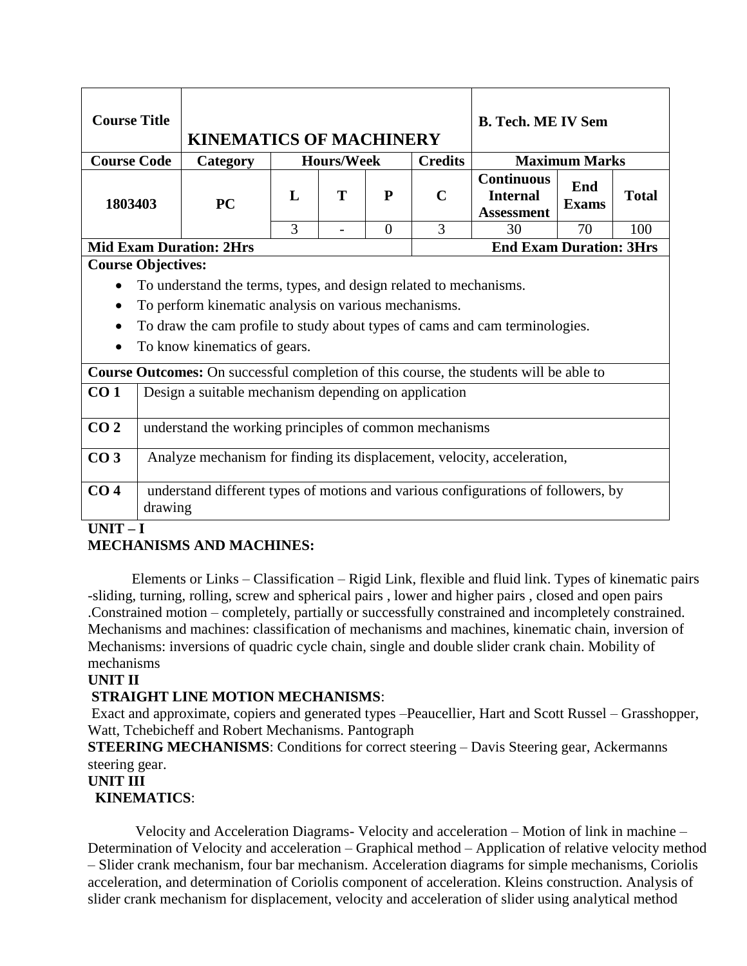| <b>Course Title</b> |                                                                                   | <b>KINEMATICS OF MACHINERY</b>                                                         |                                     |   |                | <b>B. Tech. ME IV Sem</b> |                                                           |                     |              |  |  |  |
|---------------------|-----------------------------------------------------------------------------------|----------------------------------------------------------------------------------------|-------------------------------------|---|----------------|---------------------------|-----------------------------------------------------------|---------------------|--------------|--|--|--|
| <b>Course Code</b>  |                                                                                   | Category                                                                               | <b>Credits</b><br><b>Hours/Week</b> |   |                |                           | <b>Maximum Marks</b>                                      |                     |              |  |  |  |
| 1803403             |                                                                                   | PC                                                                                     | $\mathbf{L}$                        | T | P              | $\mathbf C$               | <b>Continuous</b><br><b>Internal</b><br><b>Assessment</b> | End<br><b>Exams</b> | <b>Total</b> |  |  |  |
|                     |                                                                                   |                                                                                        | 3                                   |   | $\overline{0}$ | 3                         | 30                                                        | 70                  | 100          |  |  |  |
|                     |                                                                                   | <b>Mid Exam Duration: 2Hrs</b>                                                         |                                     |   |                |                           | <b>End Exam Duration: 3Hrs</b>                            |                     |              |  |  |  |
|                     | <b>Course Objectives:</b>                                                         |                                                                                        |                                     |   |                |                           |                                                           |                     |              |  |  |  |
|                     |                                                                                   | To understand the terms, types, and design related to mechanisms.                      |                                     |   |                |                           |                                                           |                     |              |  |  |  |
| $\bullet$           |                                                                                   | To perform kinematic analysis on various mechanisms.                                   |                                     |   |                |                           |                                                           |                     |              |  |  |  |
|                     |                                                                                   |                                                                                        |                                     |   |                |                           |                                                           |                     |              |  |  |  |
| $\bullet$           |                                                                                   | To draw the cam profile to study about types of cams and cam terminologies.            |                                     |   |                |                           |                                                           |                     |              |  |  |  |
| $\bullet$           |                                                                                   | To know kinematics of gears.                                                           |                                     |   |                |                           |                                                           |                     |              |  |  |  |
|                     |                                                                                   | Course Outcomes: On successful completion of this course, the students will be able to |                                     |   |                |                           |                                                           |                     |              |  |  |  |
| CO <sub>1</sub>     |                                                                                   | Design a suitable mechanism depending on application                                   |                                     |   |                |                           |                                                           |                     |              |  |  |  |
|                     |                                                                                   |                                                                                        |                                     |   |                |                           |                                                           |                     |              |  |  |  |
| CO <sub>2</sub>     |                                                                                   | understand the working principles of common mechanisms                                 |                                     |   |                |                           |                                                           |                     |              |  |  |  |
|                     |                                                                                   |                                                                                        |                                     |   |                |                           |                                                           |                     |              |  |  |  |
| CO <sub>3</sub>     | Analyze mechanism for finding its displacement, velocity, acceleration,           |                                                                                        |                                     |   |                |                           |                                                           |                     |              |  |  |  |
| CO <sub>4</sub>     | understand different types of motions and various configurations of followers, by |                                                                                        |                                     |   |                |                           |                                                           |                     |              |  |  |  |
|                     | drawing                                                                           |                                                                                        |                                     |   |                |                           |                                                           |                     |              |  |  |  |
|                     |                                                                                   |                                                                                        |                                     |   |                |                           |                                                           |                     |              |  |  |  |

#### **UNIT – I**

## **MECHANISMS AND MACHINES:**

Elements or Links – Classification – Rigid Link, flexible and fluid link. Types of kinematic pairs -sliding, turning, rolling, screw and spherical pairs , lower and higher pairs , closed and open pairs .Constrained motion – completely, partially or successfully constrained and incompletely constrained. Mechanisms and machines: classification of mechanisms and machines, kinematic chain, inversion of Mechanisms: inversions of quadric cycle chain, single and double slider crank chain. Mobility of mechanisms

## **UNIT II**

#### **STRAIGHT LINE MOTION MECHANISMS**:

Exact and approximate, copiers and generated types –Peaucellier, Hart and Scott Russel – Grasshopper, Watt, Tchebicheff and Robert Mechanisms. Pantograph

**STEERING MECHANISMS:** Conditions for correct steering – Davis Steering gear, Ackermanns steering gear.

## **UNIT III**

#### **KINEMATICS**:

Velocity and Acceleration Diagrams- Velocity and acceleration – Motion of link in machine – Determination of Velocity and acceleration – Graphical method – Application of relative velocity method – Slider crank mechanism, four bar mechanism. Acceleration diagrams for simple mechanisms, Coriolis acceleration, and determination of Coriolis component of acceleration. Kleins construction. Analysis of slider crank mechanism for displacement, velocity and acceleration of slider using analytical method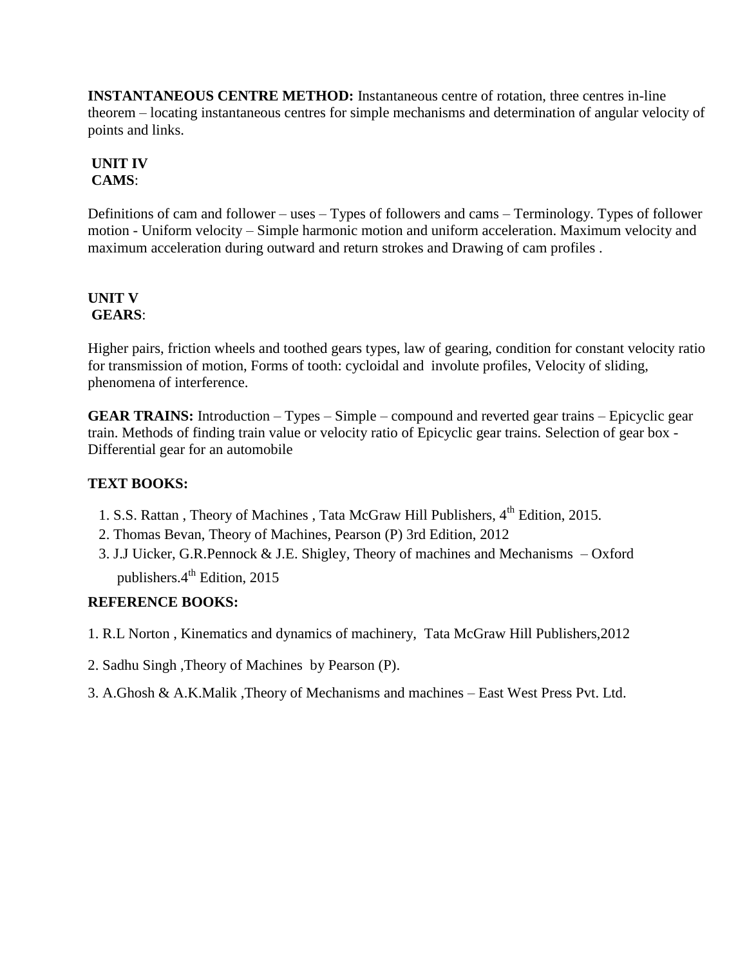**INSTANTANEOUS CENTRE METHOD:** Instantaneous centre of rotation, three centres in-line theorem – locating instantaneous centres for simple mechanisms and determination of angular velocity of points and links.

# **UNIT IV CAMS**:

Definitions of cam and follower – uses – Types of followers and cams – Terminology. Types of follower motion - Uniform velocity – Simple harmonic motion and uniform acceleration. Maximum velocity and maximum acceleration during outward and return strokes and Drawing of cam profiles .

## **UNIT V GEARS**:

Higher pairs, friction wheels and toothed gears types, law of gearing, condition for constant velocity ratio for transmission of motion, Forms of tooth: cycloidal and involute profiles, Velocity of sliding, phenomena of interference.

**GEAR TRAINS:** Introduction – Types – Simple – compound and reverted gear trains – Epicyclic gear train. Methods of finding train value or velocity ratio of Epicyclic gear trains. Selection of gear box - Differential gear for an automobile

# **TEXT BOOKS:**

- 1. S.S. Rattan, Theory of Machines, Tata McGraw Hill Publishers,  $4<sup>th</sup>$  Edition, 2015.
- 2. Thomas Bevan, Theory of Machines, Pearson (P) 3rd Edition, 2012
- 3. J.J Uicker, G.R.Pennock & J.E. Shigley, Theory of machines and Mechanisms Oxford publishers.4<sup>th</sup> Edition, 2015

# **REFERENCE BOOKS:**

- 1. R.L Norton , Kinematics and dynamics of machinery, Tata McGraw Hill Publishers,2012
- 2. Sadhu Singh ,Theory of Machines by Pearson (P).
- 3. A.Ghosh & A.K.Malik ,Theory of Mechanisms and machines East West Press Pvt. Ltd.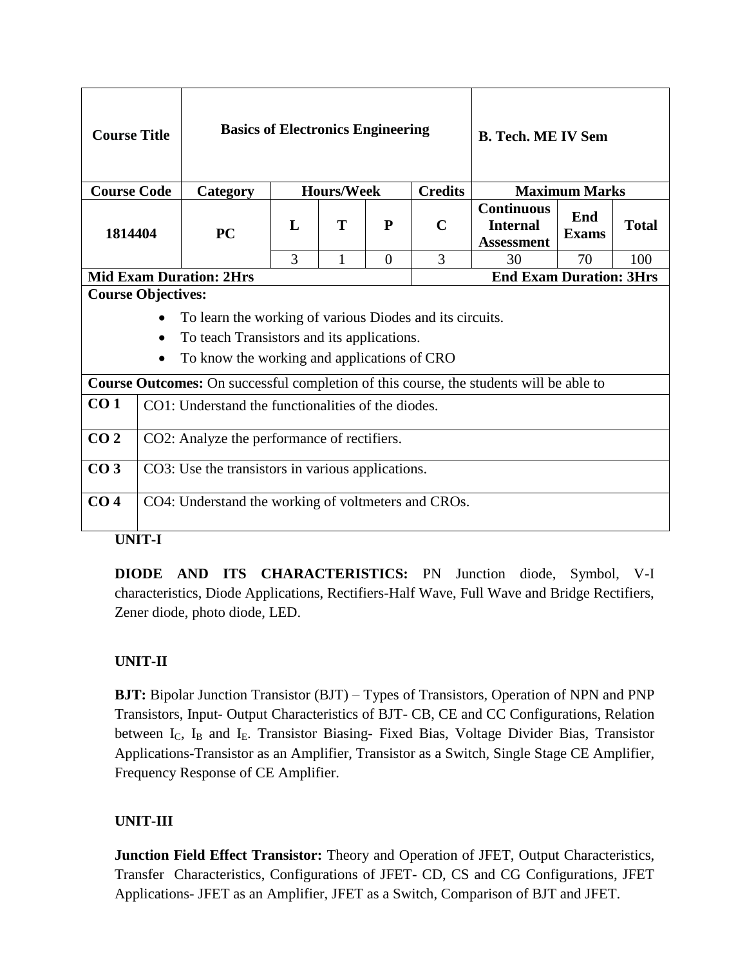| <b>Course Title</b>       |                                                                       | <b>Basics of Electronics Engineering</b>                                                      |   |              | <b>B. Tech. ME IV Sem</b> |                      |                                                           |              |              |
|---------------------------|-----------------------------------------------------------------------|-----------------------------------------------------------------------------------------------|---|--------------|---------------------------|----------------------|-----------------------------------------------------------|--------------|--------------|
|                           | <b>Credits</b><br><b>Course Code</b><br><b>Hours/Week</b><br>Category |                                                                                               |   |              |                           | <b>Maximum Marks</b> |                                                           |              |              |
| 1814404                   |                                                                       | <b>PC</b>                                                                                     | L | T            | P                         | $\mathbf C$          | <b>Continuous</b><br><b>Internal</b><br><b>Assessment</b> | End<br>Exams | <b>Total</b> |
|                           |                                                                       |                                                                                               | 3 | $\mathbf{1}$ | $\Omega$                  | 3                    | 30                                                        | 70           | 100          |
|                           |                                                                       | <b>Mid Exam Duration: 2Hrs</b>                                                                |   |              |                           |                      | <b>End Exam Duration: 3Hrs</b>                            |              |              |
| <b>Course Objectives:</b> |                                                                       |                                                                                               |   |              |                           |                      |                                                           |              |              |
|                           | ٠                                                                     | To learn the working of various Diodes and its circuits.                                      |   |              |                           |                      |                                                           |              |              |
|                           | $\bullet$                                                             | To teach Transistors and its applications.                                                    |   |              |                           |                      |                                                           |              |              |
|                           | $\bullet$                                                             | To know the working and applications of CRO                                                   |   |              |                           |                      |                                                           |              |              |
|                           |                                                                       | <b>Course Outcomes:</b> On successful completion of this course, the students will be able to |   |              |                           |                      |                                                           |              |              |
| CO <sub>1</sub>           | CO1: Understand the functionalities of the diodes.                    |                                                                                               |   |              |                           |                      |                                                           |              |              |
| CO <sub>2</sub>           | CO2: Analyze the performance of rectifiers.                           |                                                                                               |   |              |                           |                      |                                                           |              |              |
| CO <sub>3</sub>           | CO3: Use the transistors in various applications.                     |                                                                                               |   |              |                           |                      |                                                           |              |              |
| CO <sub>4</sub>           |                                                                       | CO4: Understand the working of voltmeters and CROs.                                           |   |              |                           |                      |                                                           |              |              |

**UNIT-I**

**DIODE AND ITS CHARACTERISTICS:** PN Junction diode, Symbol, V-I characteristics, Diode Applications, Rectifiers-Half Wave, Full Wave and Bridge Rectifiers, Zener diode, photo diode, LED.

# **UNIT-II**

**BJT:** Bipolar Junction Transistor (BJT) – Types of Transistors, Operation of NPN and PNP Transistors, Input- Output Characteristics of BJT- CB, CE and CC Configurations, Relation between  $I_c$ ,  $I_B$  and  $I_E$ . Transistor Biasing- Fixed Bias, Voltage Divider Bias, Transistor Applications-Transistor as an Amplifier, Transistor as a Switch, Single Stage CE Amplifier, Frequency Response of CE Amplifier.

## **UNIT-III**

**Junction Field Effect Transistor:** Theory and Operation of JFET, Output Characteristics, Transfer Characteristics, Configurations of JFET- CD, CS and CG Configurations, JFET Applications- JFET as an Amplifier, JFET as a Switch, Comparison of BJT and JFET.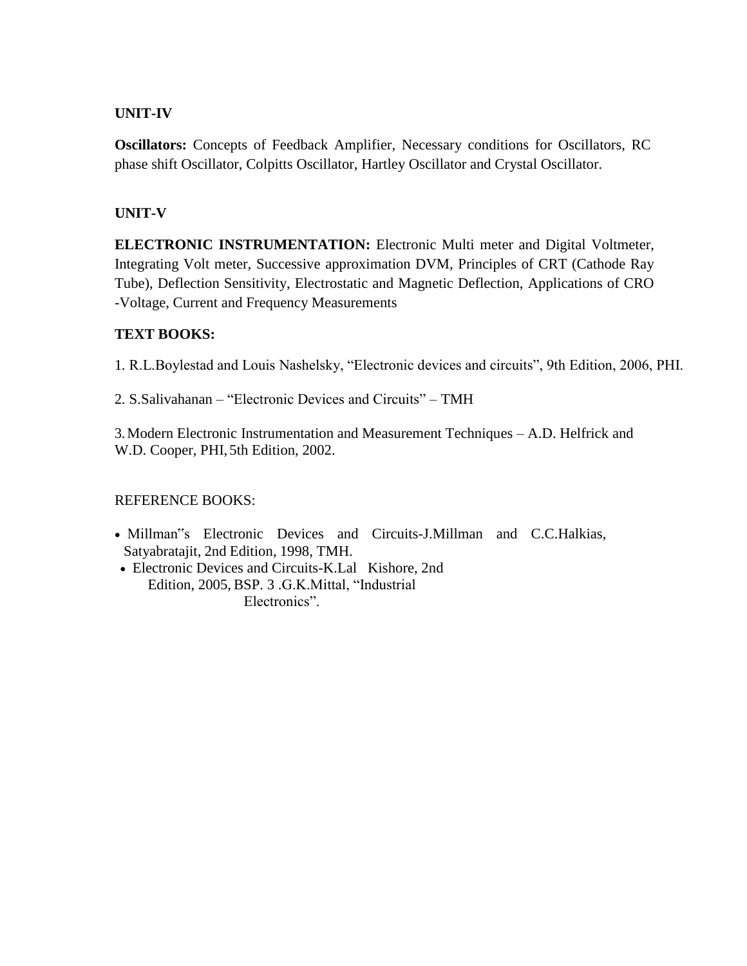## **UNIT-IV**

**Oscillators:** Concepts of Feedback Amplifier, Necessary conditions for Oscillators, RC phase shift Oscillator, Colpitts Oscillator, Hartley Oscillator and Crystal Oscillator.

# **UNIT-V**

**ELECTRONIC INSTRUMENTATION:** Electronic Multi meter and Digital Voltmeter, Integrating Volt meter, Successive approximation DVM, Principles of CRT (Cathode Ray Tube), Deflection Sensitivity, Electrostatic and Magnetic Deflection, Applications of CRO -Voltage, Current and Frequency Measurements

## **TEXT BOOKS:**

1. R.L.Boylestad and Louis Nashelsky, "Electronic devices and circuits", 9th Edition, 2006, PHI.

2. S.Salivahanan – "Electronic Devices and Circuits" – TMH

3.Modern Electronic Instrumentation and Measurement Techniques – A.D. Helfrick and W.D. Cooper, PHI, 5th Edition, 2002.

## REFERENCE BOOKS:

- Millman"s Electronic Devices and Circuits-J.Millman and C.C.Halkias, Satyabratajit, 2nd Edition, 1998, TMH.
- Electronic Devices and Circuits-K.Lal Kishore, 2nd Edition, 2005, BSP. 3 .G.K.Mittal, "Industrial Electronics".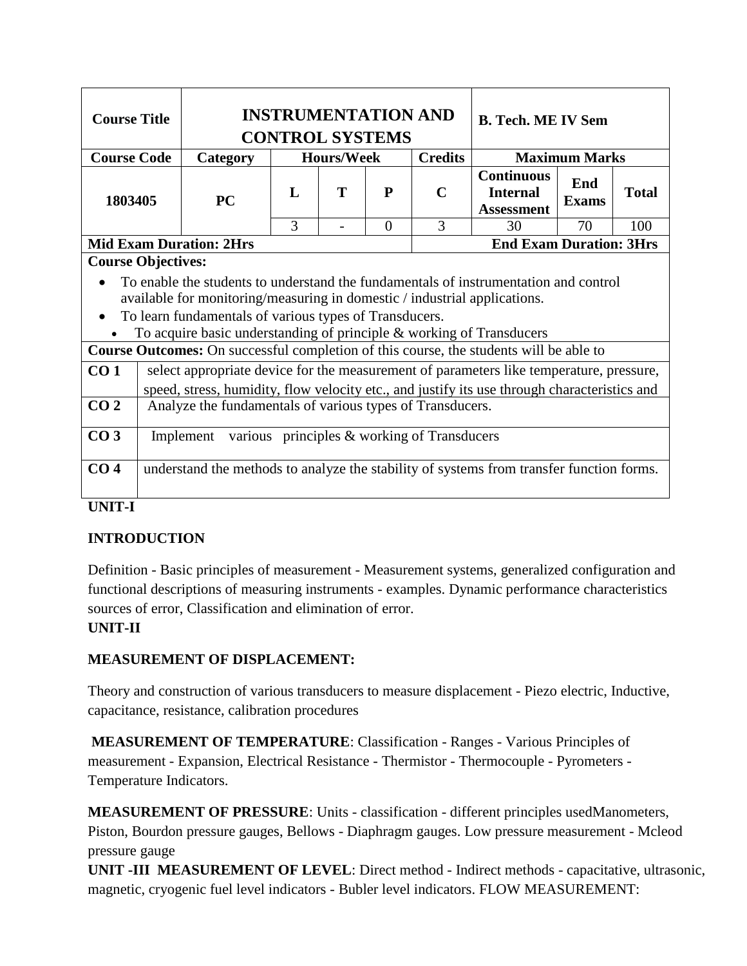| <b>Course Title</b>                                                                                                                                                                                                                                                                                                                                                                                                               |                                                                                                                                                                                                                                                                         |                                | <b>INSTRUMENTATION AND</b><br><b>CONTROL SYSTEMS</b> | <b>B. Tech. ME IV Sem</b> |          |                |                                                           |                      |              |
|-----------------------------------------------------------------------------------------------------------------------------------------------------------------------------------------------------------------------------------------------------------------------------------------------------------------------------------------------------------------------------------------------------------------------------------|-------------------------------------------------------------------------------------------------------------------------------------------------------------------------------------------------------------------------------------------------------------------------|--------------------------------|------------------------------------------------------|---------------------------|----------|----------------|-----------------------------------------------------------|----------------------|--------------|
| <b>Course Code</b>                                                                                                                                                                                                                                                                                                                                                                                                                |                                                                                                                                                                                                                                                                         | Category                       | <b>Hours/Week</b>                                    |                           |          | <b>Credits</b> |                                                           | <b>Maximum Marks</b> |              |
| 1803405                                                                                                                                                                                                                                                                                                                                                                                                                           |                                                                                                                                                                                                                                                                         | <b>PC</b>                      | L                                                    | T                         | P        | $\mathbf C$    | <b>Continuous</b><br><b>Internal</b><br><b>Assessment</b> | End<br><b>Exams</b>  | <b>Total</b> |
|                                                                                                                                                                                                                                                                                                                                                                                                                                   |                                                                                                                                                                                                                                                                         |                                | 3                                                    |                           | $\Omega$ | 3              | 30                                                        | 70                   | 100          |
|                                                                                                                                                                                                                                                                                                                                                                                                                                   |                                                                                                                                                                                                                                                                         | <b>Mid Exam Duration: 2Hrs</b> |                                                      |                           |          |                | <b>End Exam Duration: 3Hrs</b>                            |                      |              |
| <b>Course Objectives:</b><br>To enable the students to understand the fundamentals of instrumentation and control<br>available for monitoring/measuring in domestic / industrial applications.<br>To learn fundamentals of various types of Transducers.<br>To acquire basic understanding of principle & working of Transducers<br><b>Course Outcomes:</b> On successful completion of this course, the students will be able to |                                                                                                                                                                                                                                                                         |                                |                                                      |                           |          |                |                                                           |                      |              |
| CO <sub>2</sub>                                                                                                                                                                                                                                                                                                                                                                                                                   | CO <sub>1</sub><br>select appropriate device for the measurement of parameters like temperature, pressure,<br>speed, stress, humidity, flow velocity etc., and justify its use through characteristics and<br>Analyze the fundamentals of various types of Transducers. |                                |                                                      |                           |          |                |                                                           |                      |              |
| CO <sub>3</sub><br>CO <sub>4</sub>                                                                                                                                                                                                                                                                                                                                                                                                | various principles & working of Transducers<br>Implement<br>understand the methods to analyze the stability of systems from transfer function forms.                                                                                                                    |                                |                                                      |                           |          |                |                                                           |                      |              |
| <b>UNIT-I</b>                                                                                                                                                                                                                                                                                                                                                                                                                     |                                                                                                                                                                                                                                                                         |                                |                                                      |                           |          |                |                                                           |                      |              |

# **INTRODUCTION**

Definition - Basic principles of measurement - Measurement systems, generalized configuration and functional descriptions of measuring instruments - examples. Dynamic performance characteristics sources of error, Classification and elimination of error.

# **UNIT-II**

# **MEASUREMENT OF DISPLACEMENT:**

Theory and construction of various transducers to measure displacement - Piezo electric, Inductive, capacitance, resistance, calibration procedures

**MEASUREMENT OF TEMPERATURE**: Classification - Ranges - Various Principles of measurement - Expansion, Electrical Resistance - Thermistor - Thermocouple - Pyrometers - Temperature Indicators.

**MEASUREMENT OF PRESSURE**: Units - classification - different principles usedManometers, Piston, Bourdon pressure gauges, Bellows - Diaphragm gauges. Low pressure measurement - Mcleod pressure gauge

**UNIT -III MEASUREMENT OF LEVEL**: Direct method - Indirect methods - capacitative, ultrasonic, magnetic, cryogenic fuel level indicators - Bubler level indicators. FLOW MEASUREMENT: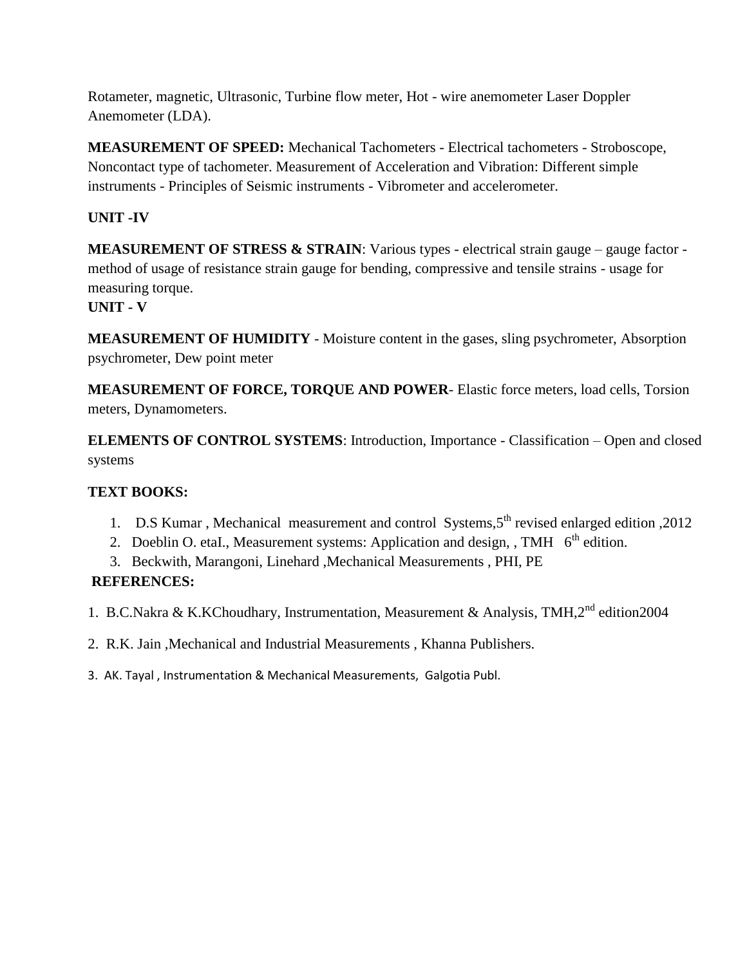Rotameter, magnetic, Ultrasonic, Turbine flow meter, Hot - wire anemometer Laser Doppler Anemometer (LDA).

**MEASUREMENT OF SPEED:** Mechanical Tachometers - Electrical tachometers - Stroboscope, Noncontact type of tachometer. Measurement of Acceleration and Vibration: Different simple instruments - Principles of Seismic instruments - Vibrometer and accelerometer.

# **UNIT -IV**

**MEASUREMENT OF STRESS & STRAIN**: Various types - electrical strain gauge – gauge factor method of usage of resistance strain gauge for bending, compressive and tensile strains - usage for measuring torque.

# **UNIT - V**

**MEASUREMENT OF HUMIDITY** - Moisture content in the gases, sling psychrometer, Absorption psychrometer, Dew point meter

**MEASUREMENT OF FORCE, TORQUE AND POWER**- Elastic force meters, load cells, Torsion meters, Dynamometers.

**ELEMENTS OF CONTROL SYSTEMS**: Introduction, Importance - Classification – Open and closed systems

# **TEXT BOOKS:**

- 1. D.S Kumar, Mechanical measurement and control Systems, 5<sup>th</sup> revised enlarged edition, 2012
- 2. Doeblin O. etaI., Measurement systems: Application and design, , TMH  $6<sup>th</sup>$  edition.
- 3. Beckwith, Marangoni, Linehard ,Mechanical Measurements , PHI, PE

# **REFERENCES:**

- 1. B.C.Nakra & K.KChoudhary, Instrumentation, Measurement & Analysis, TMH,2<sup>nd</sup> edition2004
- 2. R.K. Jain ,Mechanical and Industrial Measurements , Khanna Publishers.
- 3. AK. Tayal , Instrumentation & Mechanical Measurements, Galgotia Publ.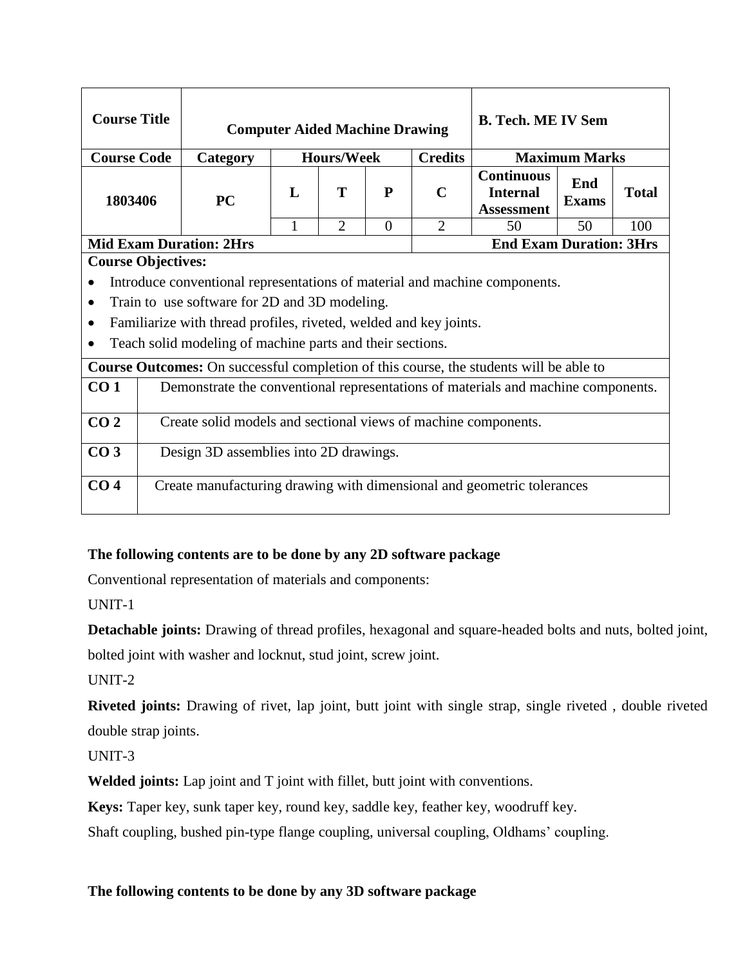| <b>Course Title</b>                                                                                                                                                                                                                                                                                                                                                                                                                             |  | <b>B. Tech. ME IV Sem</b><br><b>Computer Aided Machine Drawing</b>                |              |                   |          |                |                                                           |              |              |
|-------------------------------------------------------------------------------------------------------------------------------------------------------------------------------------------------------------------------------------------------------------------------------------------------------------------------------------------------------------------------------------------------------------------------------------------------|--|-----------------------------------------------------------------------------------|--------------|-------------------|----------|----------------|-----------------------------------------------------------|--------------|--------------|
| <b>Course Code</b>                                                                                                                                                                                                                                                                                                                                                                                                                              |  | Category                                                                          |              | <b>Hours/Week</b> |          | <b>Credits</b> | <b>Maximum Marks</b><br>End                               |              |              |
| 1803406                                                                                                                                                                                                                                                                                                                                                                                                                                         |  | <b>PC</b>                                                                         | $\mathbf{L}$ | T                 | P        | $\mathbf C$    | <b>Continuous</b><br><b>Internal</b><br><b>Assessment</b> | <b>Exams</b> | <b>Total</b> |
|                                                                                                                                                                                                                                                                                                                                                                                                                                                 |  |                                                                                   | 1            | $\overline{2}$    | $\Omega$ | $\overline{2}$ | 50                                                        | 50           | 100          |
|                                                                                                                                                                                                                                                                                                                                                                                                                                                 |  | <b>Mid Exam Duration: 2Hrs</b>                                                    |              |                   |          |                | <b>End Exam Duration: 3Hrs</b>                            |              |              |
| <b>Course Objectives:</b><br>Introduce conventional representations of material and machine components.<br>$\bullet$<br>Train to use software for 2D and 3D modeling.<br>$\bullet$<br>Familiarize with thread profiles, riveted, welded and key joints.<br>$\bullet$<br>Teach solid modeling of machine parts and their sections.<br>$\bullet$<br><b>Course Outcomes:</b> On successful completion of this course, the students will be able to |  |                                                                                   |              |                   |          |                |                                                           |              |              |
| CO <sub>1</sub>                                                                                                                                                                                                                                                                                                                                                                                                                                 |  | Demonstrate the conventional representations of materials and machine components. |              |                   |          |                |                                                           |              |              |
| CO <sub>2</sub>                                                                                                                                                                                                                                                                                                                                                                                                                                 |  | Create solid models and sectional views of machine components.                    |              |                   |          |                |                                                           |              |              |
| CO <sub>3</sub>                                                                                                                                                                                                                                                                                                                                                                                                                                 |  | Design 3D assemblies into 2D drawings.                                            |              |                   |          |                |                                                           |              |              |
| CO <sub>4</sub>                                                                                                                                                                                                                                                                                                                                                                                                                                 |  | Create manufacturing drawing with dimensional and geometric tolerances            |              |                   |          |                |                                                           |              |              |

# **The following contents are to be done by any 2D software package**

Conventional representation of materials and components:

UNIT-1

**Detachable joints:** Drawing of thread profiles, hexagonal and square-headed bolts and nuts, bolted joint, bolted joint with washer and locknut, stud joint, screw joint.

UNIT-2

**Riveted joints:** Drawing of rivet, lap joint, butt joint with single strap, single riveted , double riveted double strap joints.

UNIT-3

**Welded joints:** Lap joint and T joint with fillet, butt joint with conventions.

**Keys:** Taper key, sunk taper key, round key, saddle key, feather key, woodruff key.

Shaft coupling, bushed pin-type flange coupling, universal coupling, Oldhams' coupling.

## **The following contents to be done by any 3D software package**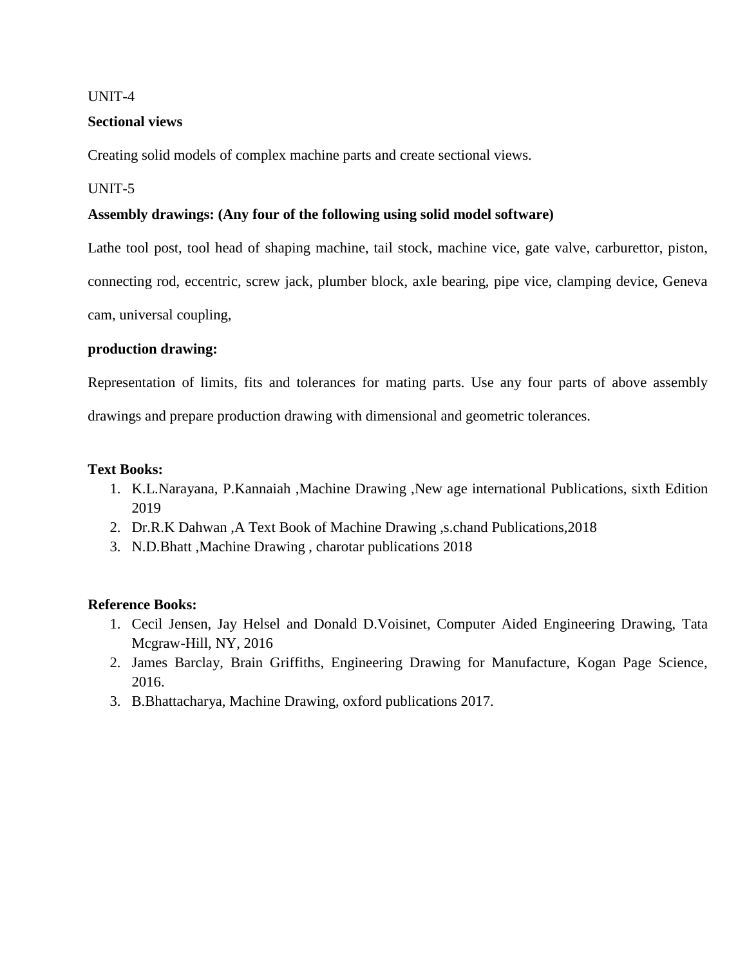#### UNIT-4

## **Sectional views**

Creating solid models of complex machine parts and create sectional views.

## UNIT-5

## **Assembly drawings: (Any four of the following using solid model software)**

Lathe tool post, tool head of shaping machine, tail stock, machine vice, gate valve, carburettor, piston,

connecting rod, eccentric, screw jack, plumber block, axle bearing, pipe vice, clamping device, Geneva

cam, universal coupling,

## **production drawing:**

Representation of limits, fits and tolerances for mating parts. Use any four parts of above assembly

drawings and prepare production drawing with dimensional and geometric tolerances.

#### **Text Books:**

- 1. K.L.Narayana, P.Kannaiah ,Machine Drawing ,New age international Publications, sixth Edition 2019
- 2. Dr.R.K Dahwan ,A Text Book of Machine Drawing ,s.chand Publications,2018
- 3. N.D.Bhatt ,Machine Drawing , charotar publications 2018

#### **Reference Books:**

- 1. Cecil Jensen, Jay Helsel and Donald D.Voisinet, Computer Aided Engineering Drawing, Tata Mcgraw-Hill, NY, 2016
- 2. James Barclay, Brain Griffiths, Engineering Drawing for Manufacture, Kogan Page Science, 2016.
- 3. B.Bhattacharya, Machine Drawing, oxford publications 2017.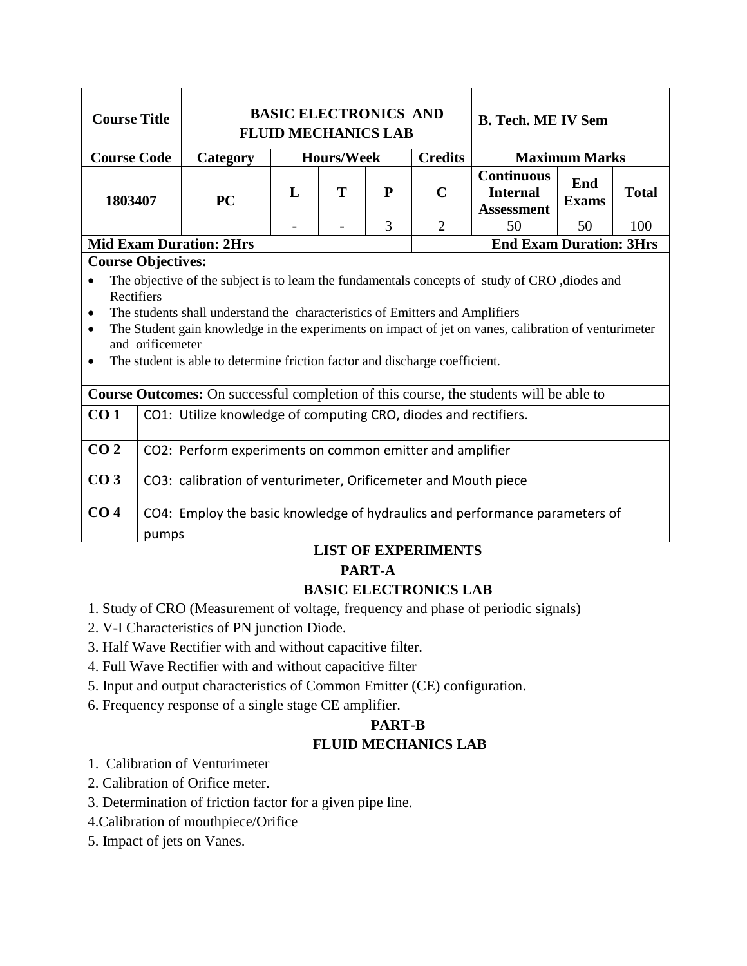| <b>Course Title</b>                                                                                                                                                                                                                                                                                                                                                                                                                                         |                                                                                        | <b>BASIC ELECTRONICS AND</b><br><b>FLUID MECHANICS LAB</b>  |                | <b>B. Tech. ME IV Sem</b> |                      |                                                           |                     |              |
|-------------------------------------------------------------------------------------------------------------------------------------------------------------------------------------------------------------------------------------------------------------------------------------------------------------------------------------------------------------------------------------------------------------------------------------------------------------|----------------------------------------------------------------------------------------|-------------------------------------------------------------|----------------|---------------------------|----------------------|-----------------------------------------------------------|---------------------|--------------|
| <b>Course Code</b>                                                                                                                                                                                                                                                                                                                                                                                                                                          | Category                                                                               | <b>Credits</b><br><b>Maximum Marks</b><br><b>Hours/Week</b> |                |                           |                      |                                                           |                     |              |
| 1803407                                                                                                                                                                                                                                                                                                                                                                                                                                                     | <b>PC</b>                                                                              | L                                                           | T              | $\mathbf{P}$              | $\mathbf C$          | <b>Continuous</b><br><b>Internal</b><br><b>Assessment</b> | End<br><b>Exams</b> | <b>Total</b> |
|                                                                                                                                                                                                                                                                                                                                                                                                                                                             |                                                                                        | $\overline{a}$                                              | $\overline{a}$ | 3                         | $\overline{2}$       | 50                                                        | 50                  | 100          |
| <b>Course Objectives:</b>                                                                                                                                                                                                                                                                                                                                                                                                                                   | <b>Mid Exam Duration: 2Hrs</b>                                                         |                                                             |                |                           |                      | <b>End Exam Duration: 3Hrs</b>                            |                     |              |
| The objective of the subject is to learn the fundamentals concepts of study of CRO, diodes and<br>$\bullet$<br>Rectifiers<br>The students shall understand the characteristics of Emitters and Amplifiers<br>$\bullet$<br>The Student gain knowledge in the experiments on impact of jet on vanes, calibration of venturimeter<br>$\bullet$<br>and orificemeter<br>The student is able to determine friction factor and discharge coefficient.<br>$\bullet$ |                                                                                        |                                                             |                |                           |                      |                                                           |                     |              |
|                                                                                                                                                                                                                                                                                                                                                                                                                                                             | Course Outcomes: On successful completion of this course, the students will be able to |                                                             |                |                           |                      |                                                           |                     |              |
| CO <sub>1</sub>                                                                                                                                                                                                                                                                                                                                                                                                                                             | CO1: Utilize knowledge of computing CRO, diodes and rectifiers.                        |                                                             |                |                           |                      |                                                           |                     |              |
| CO <sub>2</sub>                                                                                                                                                                                                                                                                                                                                                                                                                                             | CO2: Perform experiments on common emitter and amplifier                               |                                                             |                |                           |                      |                                                           |                     |              |
| CO <sub>3</sub>                                                                                                                                                                                                                                                                                                                                                                                                                                             | CO3: calibration of venturimeter, Orificemeter and Mouth piece                         |                                                             |                |                           |                      |                                                           |                     |              |
| CO <sub>4</sub>                                                                                                                                                                                                                                                                                                                                                                                                                                             | CO4: Employ the basic knowledge of hydraulics and performance parameters of<br>pumps   |                                                             |                |                           | I IGT OF EVREDIMENTS |                                                           |                     |              |

## **LIST OF EXPERIMENTS**

## **PART-A**

## **BASIC ELECTRONICS LAB**

- 1. Study of CRO (Measurement of voltage, frequency and phase of periodic signals)
- 2. V-I Characteristics of PN junction Diode.
- 3. Half Wave Rectifier with and without capacitive filter.
- 4. Full Wave Rectifier with and without capacitive filter
- 5. Input and output characteristics of Common Emitter (CE) configuration.
- 6. Frequency response of a single stage CE amplifier.

## **PART-B FLUID MECHANICS LAB**

- 1. Calibration of Venturimeter
- 2. Calibration of Orifice meter.
- 3. Determination of friction factor for a given pipe line.
- 4.Calibration of mouthpiece/Orifice
- 5. Impact of jets on Vanes.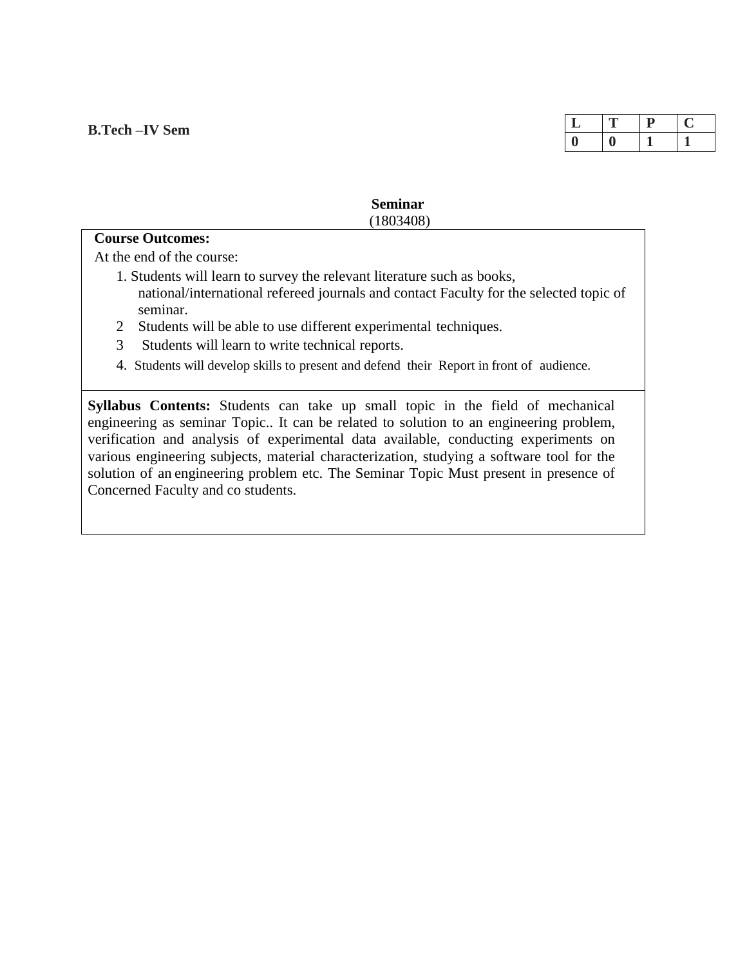| ┻ | .,<br><u>—</u> |  |
|---|----------------|--|
|   | $\mathcal{L}$  |  |

**Seminar** (1803408)

# **Course Outcomes:**

At the end of the course:

- 1. Students will learn to survey the relevant literature such as books, national/international refereed journals and contact Faculty for the selected topic of seminar.
- 2 Students will be able to use different experimental techniques.
- 3 Students will learn to write technical reports.
- 4. Students will develop skills to present and defend their Report in front of audience.

 **Syllabus Contents:** Students can take up small topic in the field of mechanical engineering as seminar Topic.. It can be related to solution to an engineering problem, verification and analysis of experimental data available, conducting experiments on various engineering subjects, material characterization, studying a software tool for the solution of an engineering problem etc. The Seminar Topic Must present in presence of Concerned Faculty and co students.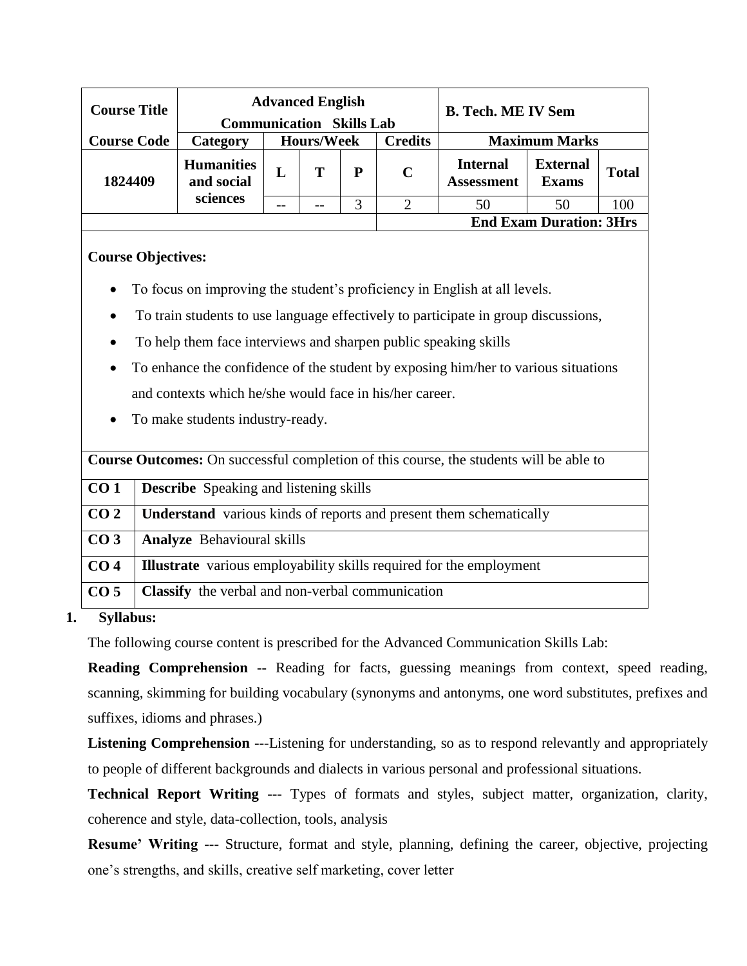| <b>Course Title</b> | <b>Advanced English</b><br><b>Communication Skills Lab</b> |                   |   |   | <b>B. Tech. ME IV Sem</b> |                                      |                                 |              |
|---------------------|------------------------------------------------------------|-------------------|---|---|---------------------------|--------------------------------------|---------------------------------|--------------|
| <b>Course Code</b>  | Category                                                   | <b>Hours/Week</b> |   |   | <b>Credits</b>            | <b>Maximum Marks</b>                 |                                 |              |
| 1824409             | <b>Humanities</b><br>and social                            | L                 | Т | P | $\mathbf C$               | <b>Internal</b><br><b>Assessment</b> | <b>External</b><br><b>Exams</b> | <b>Total</b> |
|                     | sciences                                                   | --                |   |   |                           | 50                                   | 50                              | .00          |
|                     |                                                            |                   |   |   |                           |                                      | <b>End Exam Duration: 3Hrs</b>  |              |

## **Course Objectives:**

- To focus on improving the student's proficiency in English at all levels.
- To train students to use language effectively to participate in group discussions,
- To help them face interviews and sharpen public speaking skills
- To enhance the confidence of the student by exposing him/her to various situations and contexts which he/she would face in his/her career.
- To make students industry-ready.

| <b>Course Outcomes:</b> On successful completion of this course, the students will be able to |                                                                            |  |  |  |  |  |  |
|-----------------------------------------------------------------------------------------------|----------------------------------------------------------------------------|--|--|--|--|--|--|
| CO <sub>1</sub>                                                                               | <b>Describe</b> Speaking and listening skills                              |  |  |  |  |  |  |
| CO <sub>2</sub>                                                                               | <b>Understand</b> various kinds of reports and present them schematically  |  |  |  |  |  |  |
| CO <sub>3</sub>                                                                               | <b>Analyze</b> Behavioural skills                                          |  |  |  |  |  |  |
| CO <sub>4</sub>                                                                               | <b>Illustrate</b> various employability skills required for the employment |  |  |  |  |  |  |
| CO <sub>5</sub>                                                                               | Classify the verbal and non-verbal communication                           |  |  |  |  |  |  |

## **1. Syllabus:**

The following course content is prescribed for the Advanced Communication Skills Lab:

**Reading Comprehension --** Reading for facts, guessing meanings from context, speed reading, scanning, skimming for building vocabulary (synonyms and antonyms, one word substitutes, prefixes and suffixes, idioms and phrases.)

**Listening Comprehension --**-Listening for understanding, so as to respond relevantly and appropriately to people of different backgrounds and dialects in various personal and professional situations.

**Technical Report Writing ---** Types of formats and styles, subject matter, organization, clarity, coherence and style, data-collection, tools, analysis

**Resume' Writing ---** Structure, format and style, planning, defining the career, objective, projecting one's strengths, and skills, creative self marketing, cover letter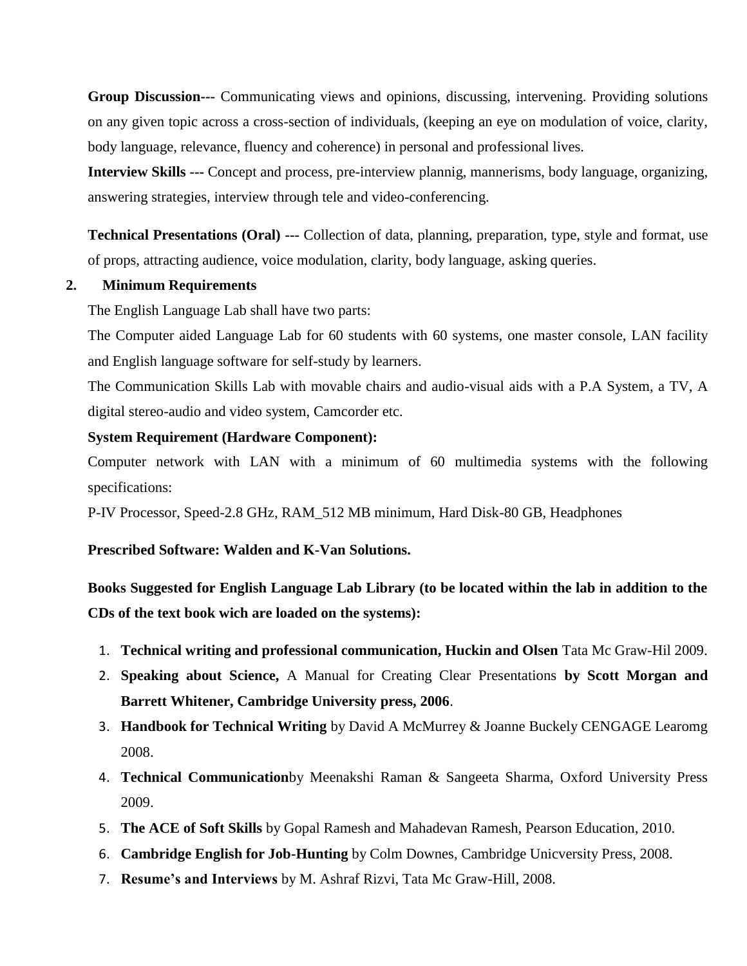**Group Discussion---** Communicating views and opinions, discussing, intervening. Providing solutions on any given topic across a cross-section of individuals, (keeping an eye on modulation of voice, clarity, body language, relevance, fluency and coherence) in personal and professional lives.

**Interview Skills ---** Concept and process, pre-interview plannig, mannerisms, body language, organizing, answering strategies, interview through tele and video-conferencing.

**Technical Presentations (Oral) ---** Collection of data, planning, preparation, type, style and format, use of props, attracting audience, voice modulation, clarity, body language, asking queries.

#### **2. Minimum Requirements**

The English Language Lab shall have two parts:

The Computer aided Language Lab for 60 students with 60 systems, one master console, LAN facility and English language software for self-study by learners.

The Communication Skills Lab with movable chairs and audio-visual aids with a P.A System, a TV, A digital stereo-audio and video system, Camcorder etc.

#### **System Requirement (Hardware Component):**

Computer network with LAN with a minimum of 60 multimedia systems with the following specifications:

P-IV Processor, Speed-2.8 GHz, RAM\_512 MB minimum, Hard Disk-80 GB, Headphones

## **Prescribed Software: Walden and K-Van Solutions.**

**Books Suggested for English Language Lab Library (to be located within the lab in addition to the CDs of the text book wich are loaded on the systems):**

- 1. **Technical writing and professional communication, Huckin and Olsen** Tata Mc Graw-Hil 2009.
- 2. **Speaking about Science,** A Manual for Creating Clear Presentations **by Scott Morgan and Barrett Whitener, Cambridge University press, 2006**.
- 3. **Handbook for Technical Writing** by David A McMurrey & Joanne Buckely CENGAGE Learomg 2008.
- 4. **Technical Communication**by Meenakshi Raman & Sangeeta Sharma, Oxford University Press 2009.
- 5. **The ACE of Soft Skills** by Gopal Ramesh and Mahadevan Ramesh, Pearson Education, 2010.
- 6. **Cambridge English for Job-Hunting** by Colm Downes, Cambridge Unicversity Press, 2008.
- 7. **Resume's and Interviews** by M. Ashraf Rizvi, Tata Mc Graw-Hill, 2008.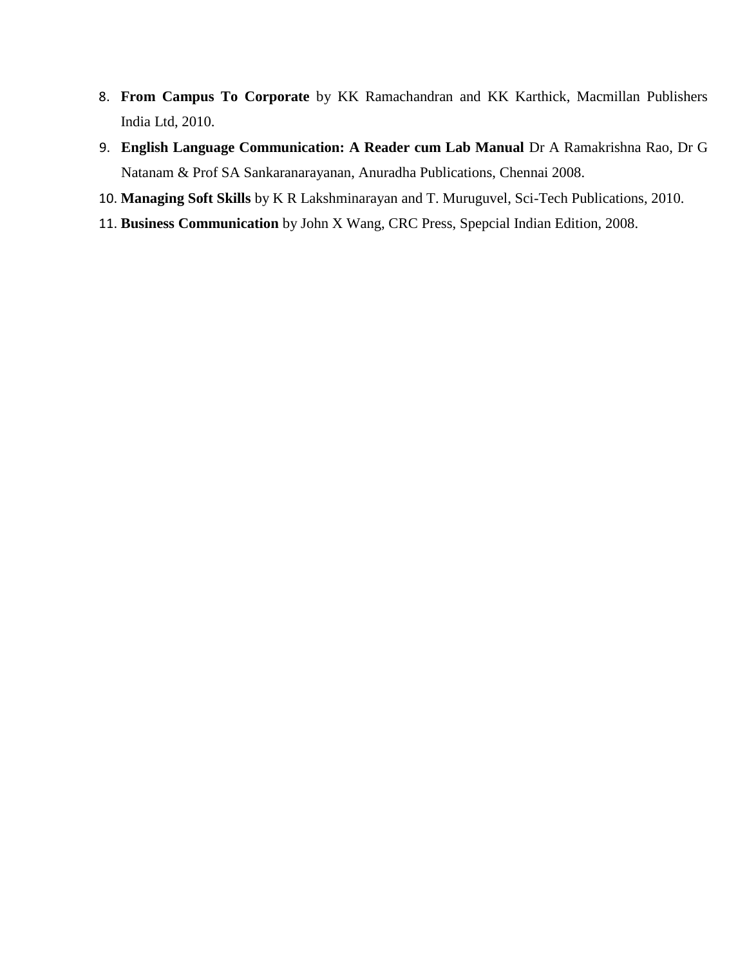- 8. **From Campus To Corporate** by KK Ramachandran and KK Karthick, Macmillan Publishers India Ltd, 2010.
- 9. **English Language Communication: A Reader cum Lab Manual** Dr A Ramakrishna Rao, Dr G Natanam & Prof SA Sankaranarayanan, Anuradha Publications, Chennai 2008.
- 10. **Managing Soft Skills** by K R Lakshminarayan and T. Muruguvel, Sci-Tech Publications, 2010.
- 11. **Business Communication** by John X Wang, CRC Press, Spepcial Indian Edition, 2008.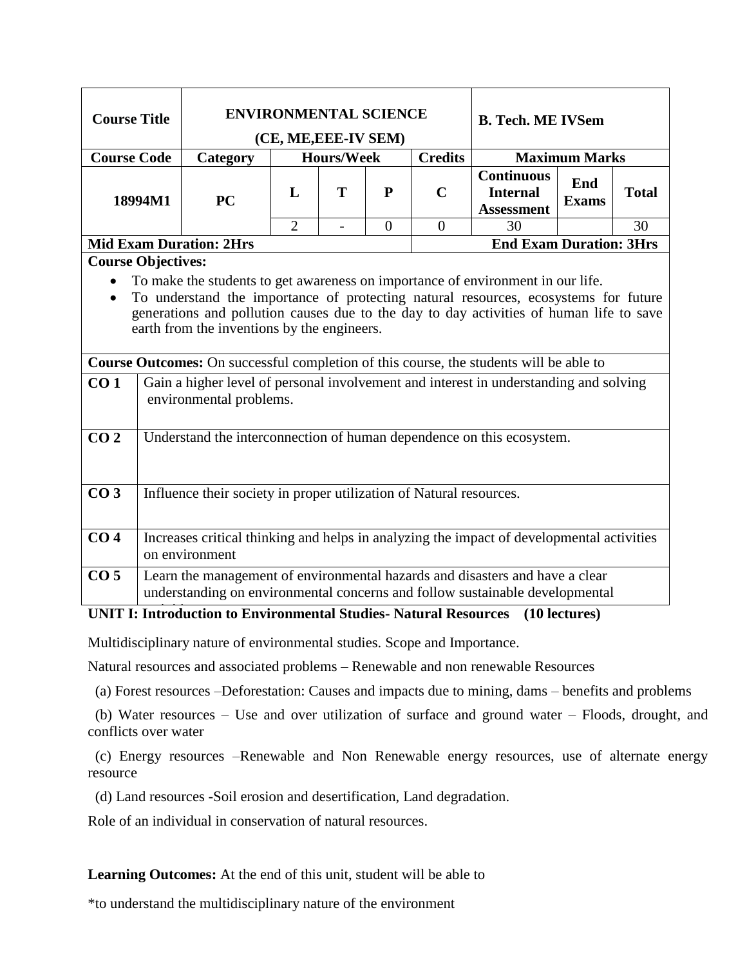| <b>Course Title</b>                                                                                                                                                                                                                                                                                                                                                                                                                                                                                                                               |                                                                       | <b>ENVIRONMENTAL SCIENCE</b><br>(CE, ME, EEE-IV SEM)                                                                                                         |                |                   |                |                | <b>B. Tech. ME IVSem</b>                                  |                     |              |  |
|---------------------------------------------------------------------------------------------------------------------------------------------------------------------------------------------------------------------------------------------------------------------------------------------------------------------------------------------------------------------------------------------------------------------------------------------------------------------------------------------------------------------------------------------------|-----------------------------------------------------------------------|--------------------------------------------------------------------------------------------------------------------------------------------------------------|----------------|-------------------|----------------|----------------|-----------------------------------------------------------|---------------------|--------------|--|
| <b>Course Code</b>                                                                                                                                                                                                                                                                                                                                                                                                                                                                                                                                |                                                                       | Category                                                                                                                                                     |                | <b>Hours/Week</b> |                | <b>Credits</b> | <b>Maximum Marks</b>                                      |                     |              |  |
|                                                                                                                                                                                                                                                                                                                                                                                                                                                                                                                                                   | 18994M1                                                               | <b>PC</b>                                                                                                                                                    | L              | T                 | $\mathbf{P}$   | $\mathbf C$    | <b>Continuous</b><br><b>Internal</b><br><b>Assessment</b> | End<br><b>Exams</b> | <b>Total</b> |  |
|                                                                                                                                                                                                                                                                                                                                                                                                                                                                                                                                                   |                                                                       |                                                                                                                                                              | $\overline{2}$ |                   | $\overline{0}$ | $\overline{0}$ | 30                                                        |                     | 30           |  |
|                                                                                                                                                                                                                                                                                                                                                                                                                                                                                                                                                   |                                                                       | <b>Mid Exam Duration: 2Hrs</b>                                                                                                                               |                |                   |                |                | <b>End Exam Duration: 3Hrs</b>                            |                     |              |  |
| <b>Course Objectives:</b>                                                                                                                                                                                                                                                                                                                                                                                                                                                                                                                         |                                                                       |                                                                                                                                                              |                |                   |                |                |                                                           |                     |              |  |
| To make the students to get awareness on importance of environment in our life.<br>To understand the importance of protecting natural resources, ecosystems for future<br>generations and pollution causes due to the day to day activities of human life to save<br>earth from the inventions by the engineers.<br>Course Outcomes: On successful completion of this course, the students will be able to<br>Gain a higher level of personal involvement and interest in understanding and solving<br>CO <sub>1</sub><br>environmental problems. |                                                                       |                                                                                                                                                              |                |                   |                |                |                                                           |                     |              |  |
| CO <sub>2</sub>                                                                                                                                                                                                                                                                                                                                                                                                                                                                                                                                   | Understand the interconnection of human dependence on this ecosystem. |                                                                                                                                                              |                |                   |                |                |                                                           |                     |              |  |
| CO <sub>3</sub>                                                                                                                                                                                                                                                                                                                                                                                                                                                                                                                                   | Influence their society in proper utilization of Natural resources.   |                                                                                                                                                              |                |                   |                |                |                                                           |                     |              |  |
| CO <sub>4</sub>                                                                                                                                                                                                                                                                                                                                                                                                                                                                                                                                   |                                                                       | Increases critical thinking and helps in analyzing the impact of developmental activities<br>on environment                                                  |                |                   |                |                |                                                           |                     |              |  |
| CO <sub>5</sub>                                                                                                                                                                                                                                                                                                                                                                                                                                                                                                                                   |                                                                       | Learn the management of environmental hazards and disasters and have a clear<br>understanding on environmental concerns and follow sustainable developmental |                |                   |                |                |                                                           |                     |              |  |

## **UNIT I: Introduction to Environmental Studies- Natural Resources (10 lectures)**

Multidisciplinary nature of environmental studies. Scope and Importance.

Natural resources and associated problems – Renewable and non renewable Resources

(a) Forest resources –Deforestation: Causes and impacts due to mining, dams – benefits and problems

 (b) Water resources – Use and over utilization of surface and ground water – Floods, drought, and conflicts over water

 (c) Energy resources –Renewable and Non Renewable energy resources, use of alternate energy resource

(d) Land resources -Soil erosion and desertification, Land degradation.

Role of an individual in conservation of natural resources.

**Learning Outcomes:** At the end of this unit, student will be able to

\*to understand the multidisciplinary nature of the environment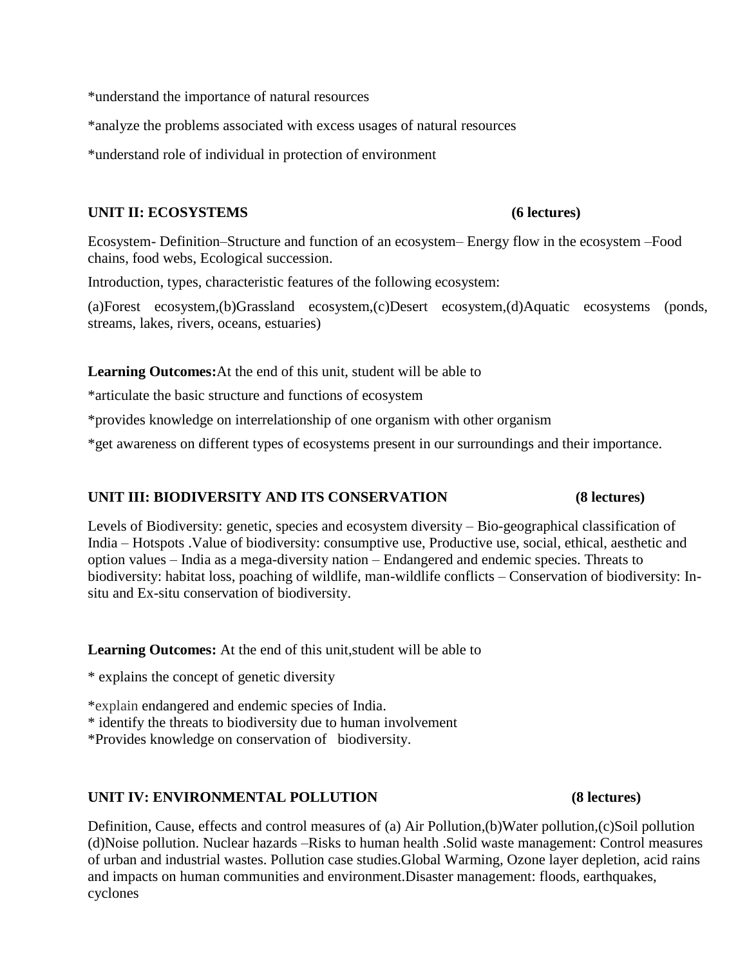\*understand the importance of natural resources

\*analyze the problems associated with excess usages of natural resources

\*understand role of individual in protection of environment

#### UNIT II: ECOSYSTEMS (6 lectures)

Ecosystem- Definition–Structure and function of an ecosystem– Energy flow in the ecosystem –Food chains, food webs, Ecological succession.

Introduction, types, characteristic features of the following ecosystem:

(a)Forest ecosystem,(b)Grassland ecosystem,(c)Desert ecosystem,(d)Aquatic ecosystems (ponds, streams, lakes, rivers, oceans, estuaries)

**Learning Outcomes:**At the end of this unit, student will be able to

\*articulate the basic structure and functions of ecosystem

\*provides knowledge on interrelationship of one organism with other organism

\*get awareness on different types of ecosystems present in our surroundings and their importance.

#### **UNIT III: BIODIVERSITY AND ITS CONSERVATION (8 lectures)**

Levels of Biodiversity: genetic, species and ecosystem diversity – Bio-geographical classification of India – Hotspots .Value of biodiversity: consumptive use, Productive use, social, ethical, aesthetic and option values – India as a mega-diversity nation – Endangered and endemic species. Threats to biodiversity: habitat loss, poaching of wildlife, man-wildlife conflicts – Conservation of biodiversity: Insitu and Ex-situ conservation of biodiversity.

**Learning Outcomes:** At the end of this unit,student will be able to

\* explains the concept of genetic diversity

\*explain endangered and endemic species of India.

\* identify the threats to biodiversity due to human involvement

\*Provides knowledge on conservation of biodiversity.

#### **UNIT IV: ENVIRONMENTAL POLLUTION (8 lectures)**

Definition, Cause, effects and control measures of (a) Air Pollution,(b)Water pollution,(c)Soil pollution (d)Noise pollution. Nuclear hazards –Risks to human health .Solid waste management: Control measures of urban and industrial wastes. Pollution case studies.Global Warming, Ozone layer depletion, acid rains and impacts on human communities and environment.Disaster management: floods, earthquakes, cyclones